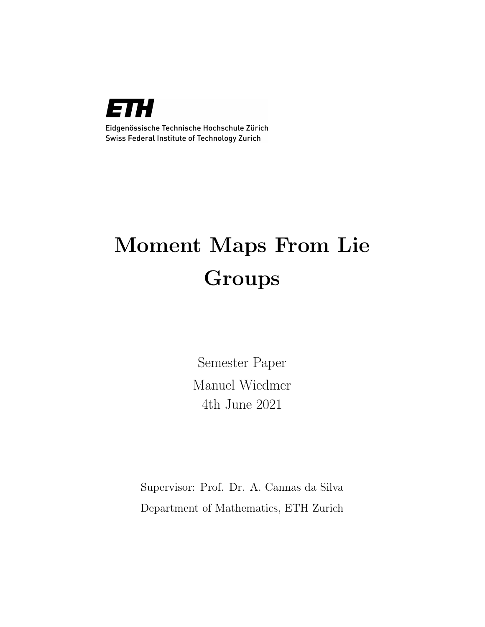

Eidgenössische Technische Hochschule Zürich Swiss Federal Institute of Technology Zurich

# Moment Maps From Lie Groups

Semester Paper Manuel Wiedmer 4th June 2021

Supervisor: Prof. Dr. A. Cannas da Silva Department of Mathematics, ETH Zurich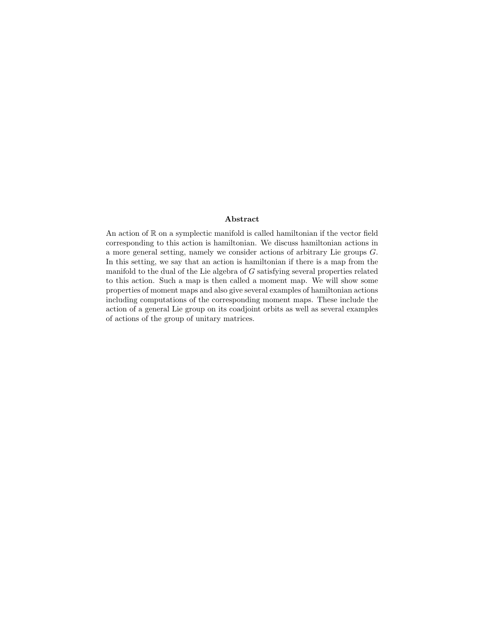#### Abstract

An action of  $\mathbb R$  on a symplectic manifold is called hamiltonian if the vector field corresponding to this action is hamiltonian. We discuss hamiltonian actions in a more general setting, namely we consider actions of arbitrary Lie groups G. In this setting, we say that an action is hamiltonian if there is a map from the manifold to the dual of the Lie algebra of G satisfying several properties related to this action. Such a map is then called a moment map. We will show some properties of moment maps and also give several examples of hamiltonian actions including computations of the corresponding moment maps. These include the action of a general Lie group on its coadjoint orbits as well as several examples of actions of the group of unitary matrices.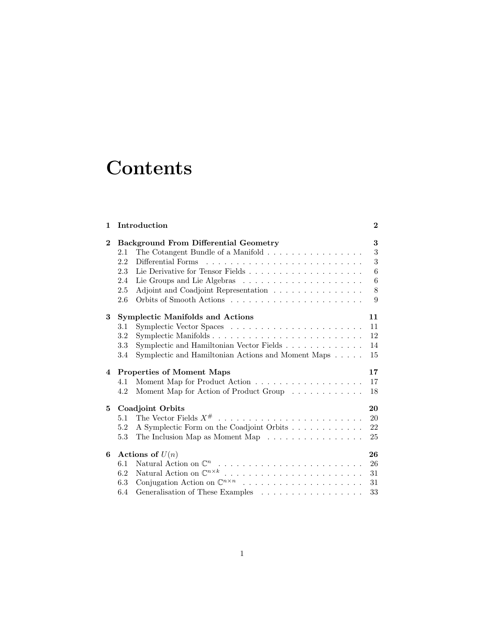# **Contents**

| 1        |                                              | Introduction                                                                   | $\bf{2}$ |
|----------|----------------------------------------------|--------------------------------------------------------------------------------|----------|
| $\bf{2}$ | <b>Background From Differential Geometry</b> |                                                                                | 3        |
|          | 2.1                                          | The Cotangent Bundle of a Manifold $\ldots \ldots \ldots \ldots \ldots \ldots$ | 3        |
|          | 2.2                                          |                                                                                | 3        |
|          | 2.3                                          |                                                                                | 6        |
|          | 2.4                                          |                                                                                | 6        |
|          | 2.5                                          | Adjoint and Coadjoint Representation                                           | 8        |
|          | 2.6                                          |                                                                                | 9        |
| 3        | <b>Symplectic Manifolds and Actions</b>      |                                                                                | 11       |
|          | 3.1                                          |                                                                                | 11       |
|          | 3.2                                          |                                                                                | 12       |
|          | 3.3                                          | Symplectic and Hamiltonian Vector Fields                                       | 14       |
|          | 3.4                                          | Symplectic and Hamiltonian Actions and Moment Maps                             | 15       |
| 4        | <b>Properties of Moment Maps</b>             |                                                                                | 17       |
|          | 4.1                                          |                                                                                | 17       |
|          | 4.2                                          | Moment Map for Action of Product Group                                         | 18       |
| 5        | Coadjoint Orbits                             |                                                                                | 20       |
|          | 5.1                                          |                                                                                | 20       |
|          | 5.2                                          | A Symplectic Form on the Coadjoint Orbits                                      | 22       |
|          | 5.3                                          | The Inclusion Map as Moment Map $\dots \dots \dots \dots \dots$                | 25       |
| 6        | Actions of $U(n)$                            |                                                                                | 26       |
|          | 6.1                                          |                                                                                | 26       |
|          | 6.2                                          |                                                                                | 31       |
|          | 6.3                                          |                                                                                | 31       |
|          | 6.4                                          | Generalisation of These Examples $\ldots \ldots \ldots \ldots \ldots \ldots$   | 33       |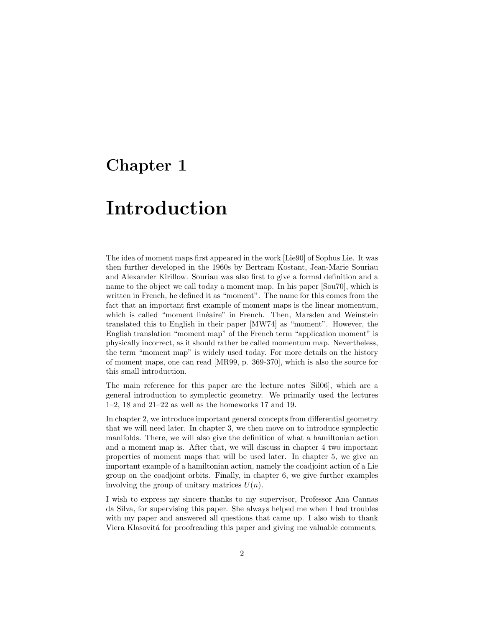# <span id="page-3-0"></span>Chapter 1

# Introduction

The idea of moment maps first appeared in the work [\[Lie90\]](#page-36-0) of Sophus Lie. It was then further developed in the 1960s by Bertram Kostant, Jean-Marie Souriau and Alexander Kirillow. Souriau was also first to give a formal definition and a name to the object we call today a moment map. In his paper [\[Sou70\]](#page-36-1), which is written in French, he defined it as "moment". The name for this comes from the fact that an important first example of moment maps is the linear momentum, which is called "moment linéaire" in French. Then, Marsden and Weinstein translated this to English in their paper [\[MW74\]](#page-36-2) as "moment". However, the English translation "moment map" of the French term "application moment" is physically incorrect, as it should rather be called momentum map. Nevertheless, the term "moment map" is widely used today. For more details on the history of moment maps, one can read [\[MR99,](#page-36-3) p. 369-370], which is also the source for this small introduction.

The main reference for this paper are the lecture notes [\[Sil06\]](#page-36-4), which are a general introduction to symplectic geometry. We primarily used the lectures 1–2, 18 and 21–22 as well as the homeworks 17 and 19.

In chapter [2,](#page-4-0) we introduce important general concepts from differential geometry that we will need later. In chapter [3,](#page-12-0) we then move on to introduce symplectic manifolds. There, we will also give the definition of what a hamiltonian action and a moment map is. After that, we will discuss in chapter [4](#page-18-0) two important properties of moment maps that will be used later. In chapter [5,](#page-21-0) we give an important example of a hamiltonian action, namely the coadjoint action of a Lie group on the coadjoint orbits. Finally, in chapter [6,](#page-27-0) we give further examples involving the group of unitary matrices  $U(n)$ .

I wish to express my sincere thanks to my supervisor, Professor Ana Cannas da Silva, for supervising this paper. She always helped me when I had troubles with my paper and answered all questions that came up. I also wish to thank Viera Klasovitá for proofreading this paper and giving me valuable comments.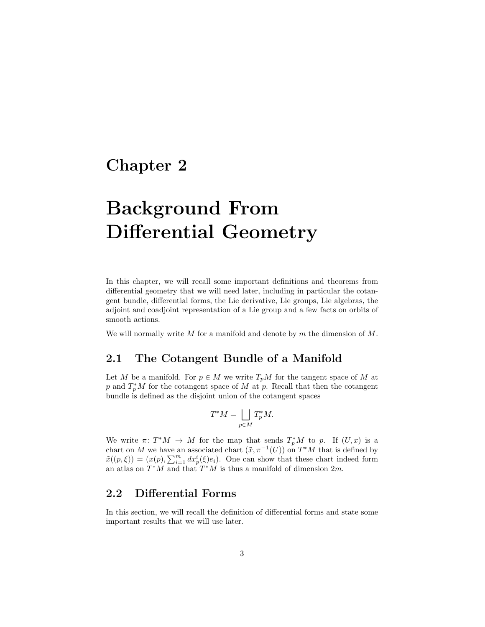# <span id="page-4-0"></span>Chapter 2

# Background From Differential Geometry

In this chapter, we will recall some important definitions and theorems from differential geometry that we will need later, including in particular the cotangent bundle, differential forms, the Lie derivative, Lie groups, Lie algebras, the adjoint and coadjoint representation of a Lie group and a few facts on orbits of smooth actions.

We will normally write M for a manifold and denote by  $m$  the dimension of  $M$ .

### <span id="page-4-1"></span>2.1 The Cotangent Bundle of a Manifold

Let M be a manifold. For  $p \in M$  we write  $T_pM$  for the tangent space of M at p and  $T_p^*M$  for the cotangent space of M at p. Recall that then the cotangent bundle is defined as the disjoint union of the cotangent spaces

$$
T^*M = \bigsqcup_{p \in M} T_p^*M.
$$

We write  $\pi: T^*M \to M$  for the map that sends  $T_p^*M$  to p. If  $(U, x)$  is a chart on M we have an associated chart  $(\tilde{x}, \pi^{-1}(U))$  on  $T^*M$  that is defined by  $\tilde{x}((p,\xi)) = (x(p), \sum_{i=1}^{m} dx_p^{i}(\xi)e_i)$ . One can show that these chart indeed form an atlas on  $T^*M$  and that  $T^*M$  is thus a manifold of dimension  $2m$ .

### <span id="page-4-2"></span>2.2 Differential Forms

In this section, we will recall the definition of differential forms and state some important results that we will use later.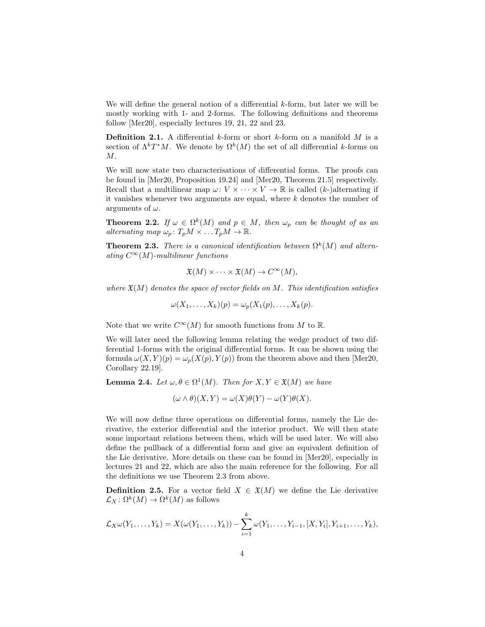We will define the general notion of a differential  $k$ -form, but later we will be mostly working with 1- and 2-forms. The following definitions and theorems follow [\[Mer20\]](#page-36-5), especially lectures 19, 21, 22 and 23.

**Definition 2.1.** A differential k-form or short k-form on a manifold  $M$  is a section of  $\Lambda^k T^*M$ . We denote by  $\Omega^k(M)$  the set of all differential k-forms on M.

We will now state two characterisations of differential forms. The proofs can be found in [\[Mer20,](#page-36-5) Proposition 19.24] and [\[Mer20,](#page-36-5) Theorem 21.5] respectively. Recall that a multilinear map  $\omega: V \times \cdots \times V \to \mathbb{R}$  is called  $(k)$ -)alternating if it vanishes whenever two arguments are equal, where  $k$  denotes the number of arguments of  $\omega$ .

**Theorem 2.2.** If  $\omega \in \Omega^k(M)$  and  $p \in M$ , then  $\omega_p$  can be thought of as an alternating map  $\omega_p : T_pM \times \ldots T_pM \to \mathbb{R}$ .

<span id="page-5-0"></span>**Theorem 2.3.** There is a canonical identification between  $\Omega^k(M)$  and alternating  $C^{\infty}(M)$ -multilinear functions

$$
\mathfrak{X}(M) \times \cdots \times \mathfrak{X}(M) \to C^{\infty}(M),
$$

where  $\mathfrak{X}(M)$  denotes the space of vector fields on M. This identification satisfies

$$
\omega(X_1,\ldots,X_k)(p) = \omega_p(X_1(p),\ldots,X_k(p)).
$$

Note that we write  $C^{\infty}(M)$  for smooth functions from M to R.

We will later need the following lemma relating the wedge product of two differential 1-forms with the original differential forms. It can be shown using the formula  $\omega(X, Y)(p) = \omega_p(X(p), Y(p))$  from the theorem above and then [\[Mer20,](#page-36-5) Corollary 22.19].

<span id="page-5-1"></span>**Lemma 2.4.** Let  $\omega, \theta \in \Omega^1(M)$ . Then for  $X, Y \in \mathfrak{X}(M)$  we have

$$
(\omega \wedge \theta)(X, Y) = \omega(X)\theta(Y) - \omega(Y)\theta(X).
$$

We will now define three operations on differential forms, namely the Lie derivative, the exterior differential and the interior product. We will then state some important relations between them, which will be used later. We will also define the pullback of a differential form and give an equivalent definition of the Lie derivative. More details on these can be found in [\[Mer20\]](#page-36-5), especially in lectures 21 and 22, which are also the main reference for the following. For all the definitions we use Theorem [2.3](#page-5-0) from above.

**Definition 2.5.** For a vector field  $X \in \mathfrak{X}(M)$  we define the Lie derivative  $\mathcal{L}_X \colon \Omega^k(M) \to \Omega^k(M)$  as follows

$$
\mathcal{L}_X\omega(Y_1,\ldots,Y_k)=X(\omega(Y_1,\ldots,Y_k))-\sum_{i=1}^k\omega(Y_1,\ldots,Y_{i-1},[X,Y_i],Y_{i+1},\ldots,Y_k),
$$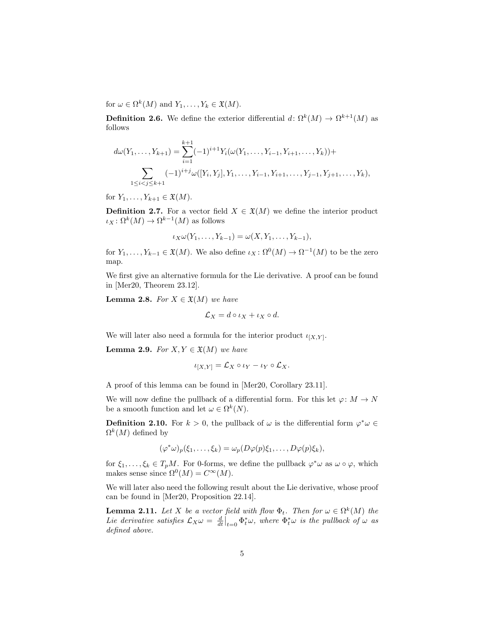for  $\omega \in \Omega^k(M)$  and  $Y_1, \ldots, Y_k \in \mathfrak{X}(M)$ .

<span id="page-6-3"></span>**Definition 2.6.** We define the exterior differential  $d: \Omega^k(M) \to \Omega^{k+1}(M)$  as follows

$$
d\omega(Y_1, \ldots, Y_{k+1}) = \sum_{i=1}^{k+1} (-1)^{i+1} Y_i(\omega(Y_1, \ldots, Y_{i-1}, Y_{i+1}, \ldots, Y_k)) + \sum_{1 \le i < j \le k+1} (-1)^{i+j} \omega([Y_i, Y_j], Y_1, \ldots, Y_{i-1}, Y_{i+1}, \ldots, Y_{j-1}, Y_{j+1}, \ldots, Y_k),
$$

for  $Y_1, \ldots, Y_{k+1} \in \mathfrak{X}(M)$ .

**Definition 2.7.** For a vector field  $X \in \mathfrak{X}(M)$  we define the interior product  $\iota_X \colon \Omega^k(M) \to \Omega^{k-1}(M)$  as follows

$$
\iota_X\omega(Y_1,\ldots,Y_{k-1})=\omega(X,Y_1,\ldots,Y_{k-1}),
$$

for  $Y_1, \ldots, Y_{k-1} \in \mathfrak{X}(M)$ . We also define  $\iota_X : \Omega^0(M) \to \Omega^{-1}(M)$  to be the zero map.

We first give an alternative formula for the Lie derivative. A proof can be found in [\[Mer20,](#page-36-5) Theorem 23.12].

<span id="page-6-1"></span>**Lemma 2.8.** For  $X \in \mathfrak{X}(M)$  we have

$$
\mathcal{L}_X = d \circ \iota_X + \iota_X \circ d.
$$

We will later also need a formula for the interior product  $\iota_{[X,Y]}$ .

<span id="page-6-2"></span>**Lemma 2.9.** For  $X, Y \in \mathfrak{X}(M)$  we have

$$
\iota_{[X,Y]} = \mathcal{L}_X \circ \iota_Y - \iota_Y \circ \mathcal{L}_X.
$$

A proof of this lemma can be found in [\[Mer20,](#page-36-5) Corollary 23.11].

We will now define the pullback of a differential form. For this let  $\varphi: M \to N$ be a smooth function and let  $\omega \in \Omega^k(N)$ .

**Definition 2.10.** For  $k > 0$ , the pullback of  $\omega$  is the differential form  $\varphi^* \omega \in$  $\Omega^k(M)$  defined by

$$
(\varphi^*\omega)_p(\xi_1,\ldots,\xi_k)=\omega_p(D\varphi(p)\xi_1,\ldots,D\varphi(p)\xi_k),
$$

for  $\xi_1,\ldots,\xi_k\in T_pM$ . For 0-forms, we define the pullback  $\varphi^*\omega$  as  $\omega\circ\varphi$ , which makes sense since  $\Omega^0(M) = C^{\infty}(M)$ .

We will later also need the following result about the Lie derivative, whose proof can be found in [\[Mer20,](#page-36-5) Proposition 22.14].

<span id="page-6-0"></span>**Lemma 2.11.** Let X be a vector field with flow  $\Phi_t$ . Then for  $\omega \in \Omega^k(M)$  the Lie derivative satisfies  $\mathcal{L}_X \omega = \frac{d}{dt}\big|_{t=0} \Phi_t^* \omega$ , where  $\Phi_t^* \omega$  is the pullback of  $\omega$  as defined above.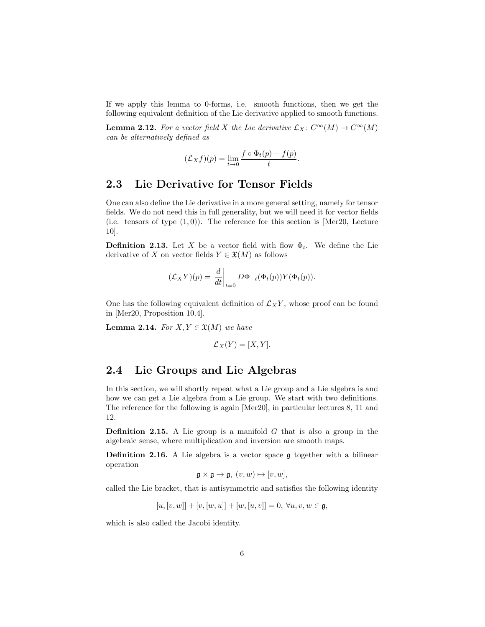If we apply this lemma to 0-forms, i.e. smooth functions, then we get the following equivalent definition of the Lie derivative applied to smooth functions.

<span id="page-7-2"></span>**Lemma 2.12.** For a vector field X the Lie derivative  $\mathcal{L}_X \colon C^\infty(M) \to C^\infty(M)$ can be alternatively defined as

$$
(\mathcal{L}_X f)(p) = \lim_{t \to 0} \frac{f \circ \Phi_t(p) - f(p)}{t}
$$

.

### <span id="page-7-0"></span>2.3 Lie Derivative for Tensor Fields

One can also define the Lie derivative in a more general setting, namely for tensor fields. We do not need this in full generality, but we will need it for vector fields (i.e. tensors of type  $(1,0)$ ). The reference for this section is [\[Mer20,](#page-36-5) Lecture 10].

**Definition 2.13.** Let X be a vector field with flow  $\Phi_t$ . We define the Lie derivative of X on vector fields  $Y \in \mathfrak{X}(M)$  as follows

$$
(\mathcal{L}_X Y)(p) = \left. \frac{d}{dt} \right|_{t=0} D\Phi_{-t}(\Phi_t(p)) Y(\Phi_t(p)).
$$

One has the following equivalent definition of  $\mathcal{L}_X Y$ , whose proof can be found in [\[Mer20,](#page-36-5) Proposition 10.4].

<span id="page-7-3"></span>**Lemma 2.14.** For  $X, Y \in \mathfrak{X}(M)$  we have

$$
\mathcal{L}_X(Y) = [X, Y].
$$

### <span id="page-7-1"></span>2.4 Lie Groups and Lie Algebras

In this section, we will shortly repeat what a Lie group and a Lie algebra is and how we can get a Lie algebra from a Lie group. We start with two definitions. The reference for the following is again [\[Mer20\]](#page-36-5), in particular lectures 8, 11 and 12.

**Definition 2.15.** A Lie group is a manifold  $G$  that is also a group in the algebraic sense, where multiplication and inversion are smooth maps.

Definition 2.16. A Lie algebra is a vector space g together with a bilinear operation

$$
\mathfrak{g}\times\mathfrak{g}\to\mathfrak{g},\ (v,w)\mapsto[v,w],
$$

called the Lie bracket, that is antisymmetric and satisfies the following identity

$$
[u,[v,w]] + [v,[w,u]] + [w,[u,v]] = 0, \,\forall u,v,w \in \mathfrak{g},
$$

which is also called the Jacobi identity.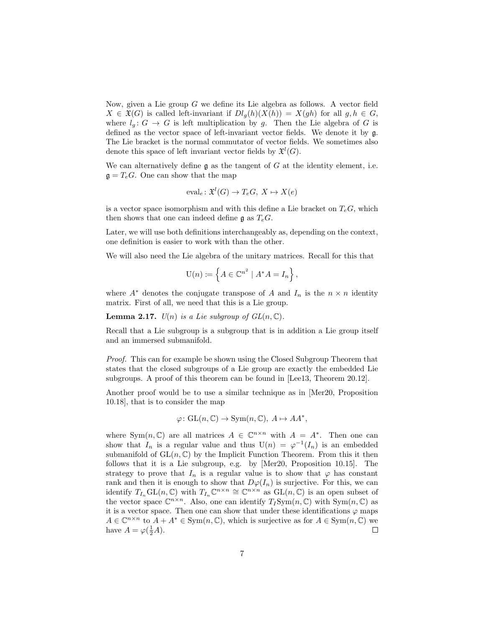Now, given a Lie group  $G$  we define its Lie algebra as follows. A vector field  $X \in \mathfrak{X}(G)$  is called left-invariant if  $Dl_q(h)(X(h)) = X(gh)$  for all  $g, h \in G$ , where  $l_q: G \to G$  is left multiplication by g. Then the Lie algebra of G is defined as the vector space of left-invariant vector fields. We denote it by g. The Lie bracket is the normal commutator of vector fields. We sometimes also denote this space of left invariant vector fields by  $\mathfrak{X}^l(G)$ .

We can alternatively define  $\mathfrak g$  as the tangent of  $G$  at the identity element, i.e.  $\mathfrak{g} = T_e G$ . One can show that the map

$$
eval_e: \mathfrak{X}^l(G) \to T_eG, X \mapsto X(e)
$$

is a vector space isomorphism and with this define a Lie bracket on  $T_eG$ , which then shows that one can indeed define  $\mathfrak{g}$  as  $T_eG$ .

Later, we will use both definitions interchangeably as, depending on the context, one definition is easier to work with than the other.

We will also need the Lie algebra of the unitary matrices. Recall for this that

$$
U(n) := \left\{ A \in \mathbb{C}^{n^2} \mid A^*A = I_n \right\},\
$$

where  $A^*$  denotes the conjugate transpose of A and  $I_n$  is the  $n \times n$  identity matrix. First of all, we need that this is a Lie group.

**Lemma 2.17.**  $U(n)$  is a Lie subgroup of  $GL(n, \mathbb{C})$ .

Recall that a Lie subgroup is a subgroup that is in addition a Lie group itself and an immersed submanifold.

Proof. This can for example be shown using the Closed Subgroup Theorem that states that the closed subgroups of a Lie group are exactly the embedded Lie subgroups. A proof of this theorem can be found in [\[Lee13,](#page-36-6) Theorem 20.12].

Another proof would be to use a similar technique as in [\[Mer20,](#page-36-5) Proposition 10.18], that is to consider the map

$$
\varphi: GL(n, \mathbb{C}) \to Sym(n, \mathbb{C}), A \mapsto AA^*,
$$

where Sym $(n, \mathbb{C})$  are all matrices  $A \in \mathbb{C}^{n \times n}$  with  $A = A^*$ . Then one can show that  $I_n$  is a regular value and thus  $U(n) = \varphi^{-1}(I_n)$  is an embedded submanifold of  $GL(n, \mathbb{C})$  by the Implicit Function Theorem. From this it then follows that it is a Lie subgroup, e.g. by [\[Mer20,](#page-36-5) Proposition 10.15]. The strategy to prove that  $I_n$  is a regular value is to show that  $\varphi$  has constant rank and then it is enough to show that  $D\varphi(I_n)$  is surjective. For this, we can identify  $T_{I_n} GL(n, \mathbb{C})$  with  $T_{I_n} \mathbb{C}^{n \times n} \cong \mathbb{C}^{n \times n}$  as  $GL(n, \mathbb{C})$  is an open subset of the vector space  $\mathbb{C}^{n \times n}$ . Also, one can identify  $T_I \text{Sym}(n, \mathbb{C})$  with  $\text{Sym}(n, \mathbb{C})$  as it is a vector space. Then one can show that under these identifications  $\varphi$  maps  $A \in \mathbb{C}^{n \times n}$  to  $A + A^* \in \text{Sym}(n, \mathbb{C})$ , which is surjective as for  $A \in \text{Sym}(n, \mathbb{C})$  we have  $A = \varphi(\frac{1}{2}A)$ .  $\Box$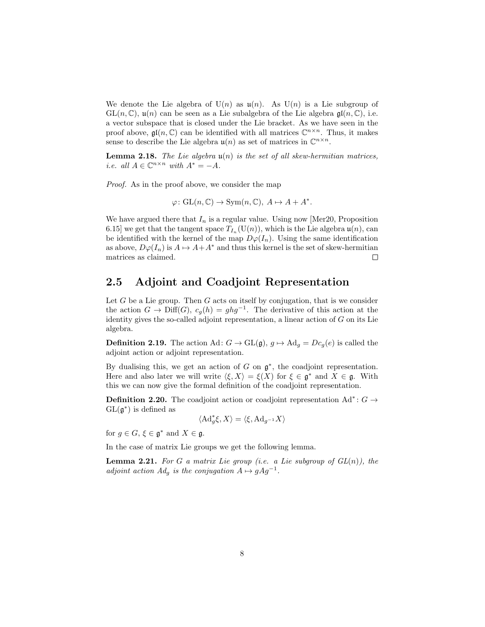We denote the Lie algebra of  $U(n)$  as  $u(n)$ . As  $U(n)$  is a Lie subgroup of  $GL(n,\mathbb{C})$ ,  $\mathfrak{u}(n)$  can be seen as a Lie subalgebra of the Lie algebra  $\mathfrak{gl}(n,\mathbb{C})$ , i.e. a vector subspace that is closed under the Lie bracket. As we have seen in the proof above,  $\mathfrak{gl}(n,\mathbb{C})$  can be identified with all matrices  $\mathbb{C}^{n\times n}$ . Thus, it makes sense to describe the Lie algebra  $\mathfrak{u}(n)$  as set of matrices in  $\mathbb{C}^{n \times n}$ .

<span id="page-9-1"></span>**Lemma 2.18.** The Lie algebra  $u(n)$  is the set of all skew-hermitian matrices, i.e. all  $A \in \mathbb{C}^{n \times n}$  with  $A^* = -A$ .

Proof. As in the proof above, we consider the map

 $\varphi: GL(n, \mathbb{C}) \to Sym(n, \mathbb{C}), A \mapsto A + A^*$ .

We have argued there that  $I_n$  is a regular value. Using now [\[Mer20,](#page-36-5) Proposition 6.15] we get that the tangent space  $T_{I_n}(\mathrm{U}(n))$ , which is the Lie algebra  $\mathfrak{u}(n)$ , can be identified with the kernel of the map  $D\varphi(I_n)$ . Using the same identification as above,  $D\varphi(I_n)$  is  $A \mapsto A+A^*$  and thus this kernel is the set of skew-hermitian matrices as claimed.  $\Box$ 

## <span id="page-9-0"></span>2.5 Adjoint and Coadjoint Representation

Let  $G$  be a Lie group. Then  $G$  acts on itself by conjugation, that is we consider the action  $G \to \text{Diff}(G)$ ,  $c_g(h) = ghg^{-1}$ . The derivative of this action at the identity gives the so-called adjoint representation, a linear action of  $G$  on its Lie algebra.

**Definition 2.19.** The action Ad:  $G \rightarrow GL(\mathfrak{g})$ ,  $g \mapsto \mathrm{Ad}_g = Dc_g(e)$  is called the adjoint action or adjoint representation.

By dualising this, we get an action of  $G$  on  $\mathfrak{g}^*$ , the coadjoint representation. Here and also later we will write  $\langle \xi, X \rangle = \xi(X)$  for  $\xi \in \mathfrak{g}^*$  and  $X \in \mathfrak{g}$ . With this we can now give the formal definition of the coadjoint representation.

**Definition 2.20.** The coadjoint action or coadjoint representation  $\text{Ad}^*$ :  $G \rightarrow$  $GL(\mathfrak{g}^*)$  is defined as

$$
\langle \mathrm{Ad}_g^*\xi, X \rangle = \langle \xi, \mathrm{Ad}_{g^{-1}}X \rangle
$$

for  $g \in G$ ,  $\xi \in \mathfrak{g}^*$  and  $X \in \mathfrak{g}$ .

In the case of matrix Lie groups we get the following lemma.

<span id="page-9-2"></span>**Lemma 2.21.** For G a matrix Lie group (i.e. a Lie subgroup of  $GL(n)$ ), the adjoint action  $Ad<sub>g</sub>$  is the conjugation  $A \mapsto gAg^{-1}$ .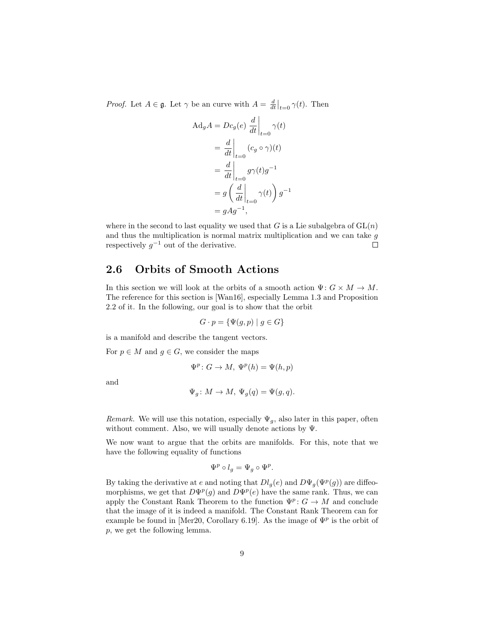*Proof.* Let  $A \in \mathfrak{g}$ . Let  $\gamma$  be an curve with  $A = \frac{d}{dt}\Big|_{t=0} \gamma(t)$ . Then

$$
\begin{aligned} \text{Ad}_g A &= Dc_g(e) \left. \frac{d}{dt} \right|_{t=0} \gamma(t) \\ &= \left. \frac{d}{dt} \right|_{t=0} (c_g \circ \gamma)(t) \\ &= \left. \frac{d}{dt} \right|_{t=0} g \gamma(t) g^{-1} \\ &= g \left( \left. \frac{d}{dt} \right|_{t=0} \gamma(t) \right) g^{-1} \\ &= g A g^{-1}, \end{aligned}
$$

where in the second to last equality we used that G is a Lie subalgebra of  $GL(n)$ and thus the multiplication is normal matrix multiplication and we can take  $g$ respectively  $g^{-1}$  out of the derivative.  $\Box$ 

### <span id="page-10-0"></span>2.6 Orbits of Smooth Actions

In this section we will look at the orbits of a smooth action  $\Psi: G \times M \to M$ . The reference for this section is [\[Wan16\]](#page-36-7), especially Lemma 1.3 and Proposition 2.2 of it. In the following, our goal is to show that the orbit

$$
G \cdot p = \{ \Psi(g, p) \mid g \in G \}
$$

is a manifold and describe the tangent vectors.

For  $p \in M$  and  $g \in G$ , we consider the maps

$$
\Psi^p \colon G \to M, \ \Psi^p(h) = \Psi(h, p)
$$

and

$$
\Psi_g \colon M \to M, \ \Psi_g(q) = \Psi(g, q).
$$

Remark. We will use this notation, especially  $\Psi_q$ , also later in this paper, often without comment. Also, we will usually denote actions by Ψ.

We now want to argue that the orbits are manifolds. For this, note that we have the following equality of functions

$$
\Psi^p \circ l_g = \Psi_g \circ \Psi^p.
$$

By taking the derivative at e and noting that  $Dl_g(e)$  and  $D\Psi_g(\Psi^p(g))$  are diffeomorphisms, we get that  $D\Psi^p(g)$  and  $D\Psi^p(e)$  have the same rank. Thus, we can apply the Constant Rank Theorem to the function  $\Psi^p: G \to M$  and conclude that the image of it is indeed a manifold. The Constant Rank Theorem can for example be found in [\[Mer20,](#page-36-5) Corollary 6.19]. As the image of  $\Psi^p$  is the orbit of p, we get the following lemma.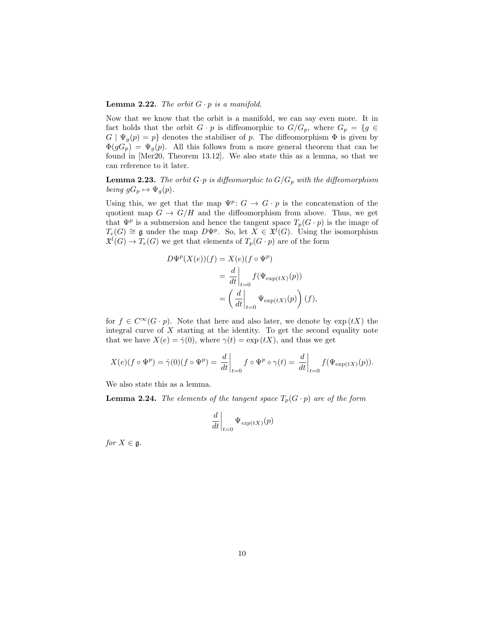#### <span id="page-11-1"></span>**Lemma 2.22.** The orbit  $G \cdot p$  is a manifold.

Now that we know that the orbit is a manifold, we can say even more. It in fact holds that the orbit  $G \cdot p$  is diffeomorphic to  $G/G_p$ , where  $G_p = \{g \in$  $G | \Psi_g(p) = p$  denotes the stabiliser of p. The diffeomorphism  $\Phi$  is given by  $\Phi(gG_p) = \Psi_q(p)$ . All this follows from a more general theorem that can be found in [\[Mer20,](#page-36-5) Theorem 13.12]. We also state this as a lemma, so that we can reference to it later.

<span id="page-11-2"></span>**Lemma 2.23.** The orbit  $G \cdot p$  is diffeomorphic to  $G/G_p$  with the diffeomorphism being  $gG_p \mapsto \Psi_q(p)$ .

Using this, we get that the map  $\Psi^p: G \to G \cdot p$  is the concatenation of the quotient map  $G \to G/H$  and the diffeomorphism from above. Thus, we get that  $\Psi^p$  is a submersion and hence the tangent space  $T_p(G \cdot p)$  is the image of  $T_e(G) \cong \mathfrak{g}$  under the map  $D\Psi^p$ . So, let  $X \in \mathfrak{X}^{\ell}(G)$ . Using the isomorphism  $\mathfrak{X}^l(G) \to T_e(G)$  we get that elements of  $T_p(G \cdot p)$  are of the form

$$
D\Psi^{p}(X(e))(f) = X(e)(f \circ \Psi^{p})
$$
  
=  $\frac{d}{dt}\Big|_{t=0} f(\Psi_{\exp(tX)}(p))$   
=  $\left(\frac{d}{dt}\Big|_{t=0} \Psi_{\exp(tX)}(p)\right)(f),$ 

for  $f \in C^{\infty}(G \cdot p)$ . Note that here and also later, we denote by  $\exp(tX)$  the integral curve of  $X$  starting at the identity. To get the second equality note that we have  $X(e) = \dot{\gamma}(0)$ , where  $\gamma(t) = \exp(tX)$ , and thus we get

$$
X(e)(f \circ \Psi^p) = \dot{\gamma}(0)(f \circ \Psi^p) = \left. \frac{d}{dt} \right|_{t=0} f \circ \Psi^p \circ \gamma(t) = \left. \frac{d}{dt} \right|_{t=0} f(\Psi_{\exp(tX)}(p)).
$$

We also state this as a lemma.

<span id="page-11-0"></span>**Lemma 2.24.** The elements of the tangent space  $T_p(G \cdot p)$  are of the form

$$
\left. \frac{d}{dt} \right|_{t=0} \Psi_{exp(tX)}(p)
$$

for  $X \in \mathfrak{g}$ .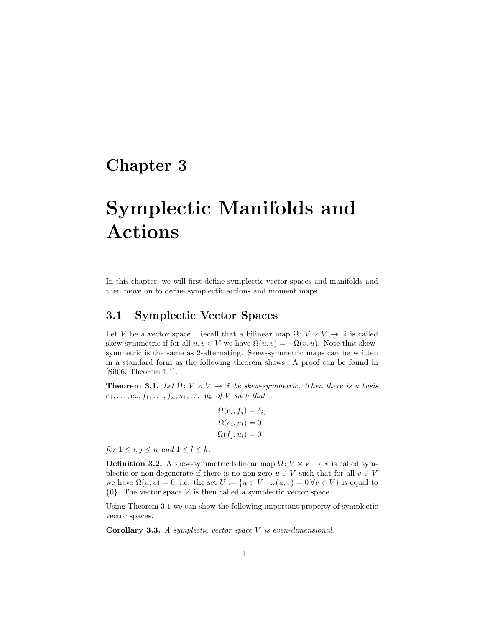# <span id="page-12-0"></span>Chapter 3

# Symplectic Manifolds and Actions

In this chapter, we will first define symplectic vector spaces and manifolds and then move on to define symplectic actions and moment maps.

## <span id="page-12-1"></span>3.1 Symplectic Vector Spaces

Let V be a vector space. Recall that a bilinear map  $\Omega: V \times V \to \mathbb{R}$  is called skew-symmetric if for all  $u, v \in V$  we have  $\Omega(u, v) = -\Omega(v, u)$ . Note that skewsymmetric is the same as 2-alternating. Skew-symmetric maps can be written in a standard form as the following theorem shows. A proof can be found in [\[Sil06,](#page-36-4) Theorem 1.1].

<span id="page-12-2"></span>**Theorem 3.1.** Let  $\Omega: V \times V \to \mathbb{R}$  be skew-symmetric. Then there is a basis  $e_1, \ldots, e_n, f_1, \ldots, f_n, u_1, \ldots, u_k$  of V such that

$$
\Omega(e_i, f_j) = \delta_{ij}
$$
  
\n
$$
\Omega(e_i, u_l) = 0
$$
  
\n
$$
\Omega(f_j, u_l) = 0
$$

for  $1 \leq i, j \leq n$  and  $1 \leq l \leq k$ .

**Definition 3.2.** A skew-symmetric bilinear map  $\Omega: V \times V \to \mathbb{R}$  is called symplectic or non-degenerate if there is no non-zero  $u \in V$  such that for all  $v \in V$ we have  $\Omega(u, v) = 0$ , i.e. the set  $U := \{u \in V \mid \omega(u, v) = 0 \,\forall v \in V\}$  is equal to  $\{0\}$ . The vector space V is then called a symplectic vector space.

Using Theorem [3.1](#page-12-2) we can show the following important property of symplectic vector spaces.

<span id="page-12-3"></span>**Corollary 3.3.** A symplectic vector space  $V$  is even-dimensional.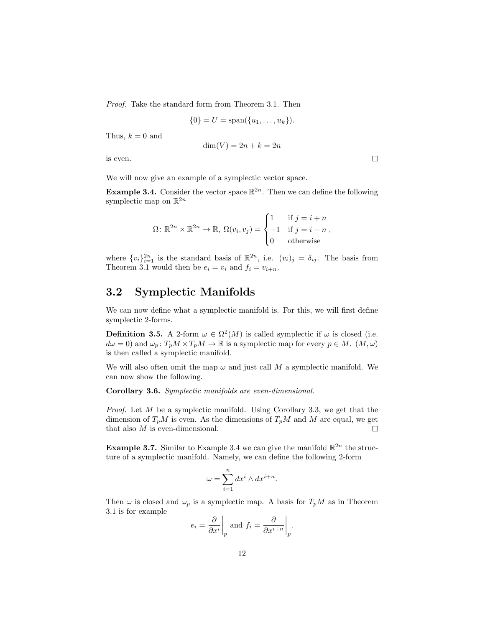Proof. Take the standard form from Theorem [3.1.](#page-12-2) Then

$$
\{0\} = U = \text{span}(\{u_1, \ldots, u_k\}).
$$

Thus,  $k = 0$  and

$$
\dim(V) = 2n + k = 2n
$$

 $\Box$ 

is even.

We will now give an example of a symplectic vector space.

<span id="page-13-1"></span>**Example 3.4.** Consider the vector space  $\mathbb{R}^{2n}$ . Then we can define the following symplectic map on  $\mathbb{R}^{2n}$ 

$$
\Omega \colon \mathbb{R}^{2n} \times \mathbb{R}^{2n} \to \mathbb{R}, \ \Omega(v_i, v_j) = \begin{cases} 1 & \text{if } j = i + n \\ -1 & \text{if } j = i - n \\ 0 & \text{otherwise} \end{cases}
$$

where  $\{v_i\}_{i=1}^{2n}$  is the standard basis of  $\mathbb{R}^{2n}$ , i.e.  $(v_i)_j = \delta_{ij}$ . The basis from Theorem [3.1](#page-12-2) would then be  $e_i = v_i$  and  $f_i = v_{i+n}$ .

### <span id="page-13-0"></span>3.2 Symplectic Manifolds

We can now define what a symplectic manifold is. For this, we will first define symplectic 2-forms.

**Definition 3.5.** A 2-form  $\omega \in \Omega^2(M)$  is called symplectic if  $\omega$  is closed (i.e.  $d\omega = 0$  and  $\omega_p$ :  $T_p M \times T_p M \to \mathbb{R}$  is a symplectic map for every  $p \in M$ .  $(M, \omega)$ is then called a symplectic manifold.

We will also often omit the map  $\omega$  and just call M a symplectic manifold. We can now show the following.

Corollary 3.6. Symplectic manifolds are even-dimensional.

Proof. Let M be a symplectic manifold. Using Corollary [3.3,](#page-12-3) we get that the dimension of  $T_pM$  is even. As the dimensions of  $T_pM$  and M are equal, we get that also M is even-dimensional.  $\Box$ 

**Example 3.7.** Similar to Example [3.4](#page-13-1) we can give the manifold  $\mathbb{R}^{2n}$  the structure of a symplectic manifold. Namely, we can define the following 2-form

$$
\omega = \sum_{i=1}^{n} dx^{i} \wedge dx^{i+n}.
$$

Then  $\omega$  is closed and  $\omega_p$  is a symplectic map. A basis for  $T_pM$  as in Theorem [3.1](#page-12-2) is for example

$$
e_i = \frac{\partial}{\partial x^i}\Big|_p
$$
 and  $f_i = \frac{\partial}{\partial x^{i+n}}\Big|_p$ .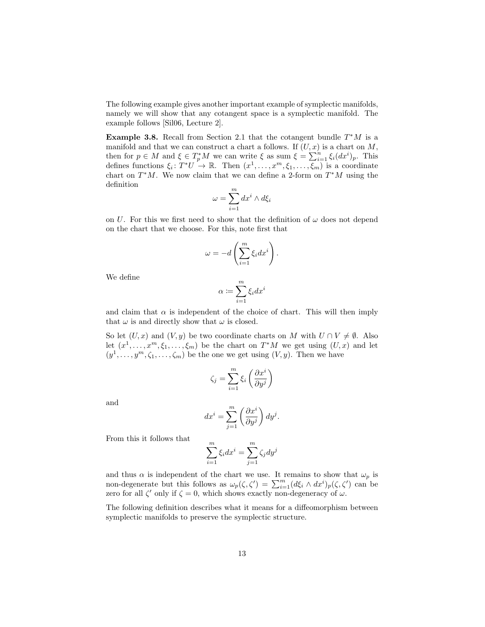The following example gives another important example of symplectic manifolds, namely we will show that any cotangent space is a symplectic manifold. The example follows [\[Sil06,](#page-36-4) Lecture 2].

Example 3.8. Recall from Section [2.1](#page-4-1) that the cotangent bundle  $T^*M$  is a manifold and that we can construct a chart a follows. If  $(U, x)$  is a chart on M, then for  $p \in M$  and  $\xi \in T_p^*M$  we can write  $\xi$  as sum  $\xi = \sum_{i=1}^n \xi_i (dx^i)_p$ . This defines functions  $\xi_i: T^*U \to \mathbb{R}$ . Then  $(x^1, \ldots, x^m, \xi_1, \ldots, \overline{\xi_m})$  is a coordinate chart on  $T^*M$ . We now claim that we can define a 2-form on  $T^*M$  using the definition

$$
\omega = \sum_{i=1}^{m} dx^{i} \wedge d\xi_{i}
$$

on U. For this we first need to show that the definition of  $\omega$  does not depend on the chart that we choose. For this, note first that

$$
\omega = -d \left( \sum_{i=1}^m \xi_i dx^i \right).
$$

We define

$$
\alpha \coloneqq \sum_{i=1}^m \xi_i dx^i
$$

and claim that  $\alpha$  is independent of the choice of chart. This will then imply that  $\omega$  is and directly show that  $\omega$  is closed.

So let  $(U, x)$  and  $(V, y)$  be two coordinate charts on M with  $U \cap V \neq \emptyset$ . Also let  $(x^1, \ldots, x^m, \xi_1, \ldots, \xi_m)$  be the chart on  $T^*M$  we get using  $(U, x)$  and let  $(y^1, \ldots, y^m, \zeta_1, \ldots, \zeta_m)$  be the one we get using  $(V, y)$ . Then we have

$$
\zeta_j = \sum_{i=1}^m \xi_i \left( \frac{\partial x^i}{\partial y^j} \right)
$$

and

$$
dx^{i} = \sum_{j=1}^{m} \left(\frac{\partial x^{i}}{\partial y^{j}}\right) dy^{j}.
$$

From this it follows that

$$
\sum_{i=1}^{m} \xi_i dx^i = \sum_{j=1}^{m} \zeta_j dy^j
$$

and thus  $\alpha$  is independent of the chart we use. It remains to show that  $\omega_p$  is non-degenerate but this follows as  $\omega_p(\zeta,\zeta') = \sum_{i=1}^m (d\xi_i \wedge dx^i)_p(\zeta,\zeta')$  can be zero for all  $\zeta'$  only if  $\zeta = 0$ , which shows exactly non-degeneracy of  $\omega$ .

The following definition describes what it means for a diffeomorphism between symplectic manifolds to preserve the symplectic structure.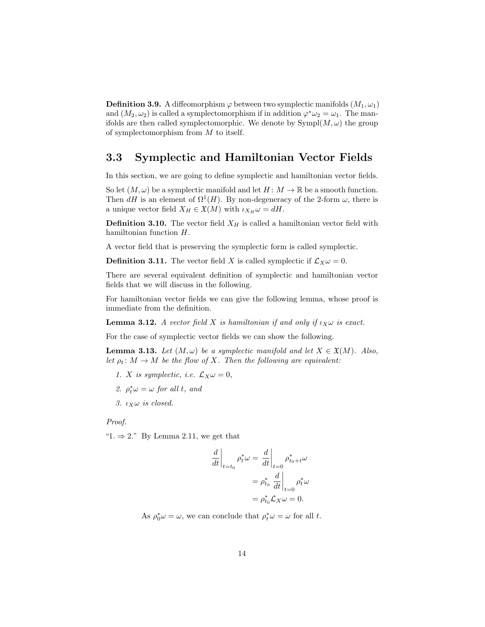**Definition 3.9.** A diffeomorphism  $\varphi$  between two symplectic manifolds  $(M_1, \omega_1)$ and  $(M_2, \omega_2)$  is called a symplectomorphism if in addition  $\varphi^* \omega_2 = \omega_1$ . The manifolds are then called symplectomorphic. We denote by  $Sympl(M, \omega)$  the group of symplectomorphism from M to itself.

## <span id="page-15-0"></span>3.3 Symplectic and Hamiltonian Vector Fields

In this section, we are going to define symplectic and hamiltonian vector fields.

So let  $(M, \omega)$  be a symplectic manifold and let  $H : M \to \mathbb{R}$  be a smooth function. Then dH is an element of  $\Omega^1(H)$ . By non-degeneracy of the 2-form  $\omega$ , there is a unique vector field  $X_H \in \mathfrak{X}(M)$  with  $\iota_{X_H} \omega = dH$ .

**Definition 3.10.** The vector field  $X_H$  is called a hamiltonian vector field with hamiltonian function H.

A vector field that is preserving the symplectic form is called symplectic.

**Definition 3.11.** The vector field X is called symplectic if  $\mathcal{L}_X \omega = 0$ .

There are several equivalent definition of symplectic and hamiltonian vector fields that we will discuss in the following.

For hamiltonian vector fields we can give the following lemma, whose proof is immediate from the definition.

<span id="page-15-1"></span>**Lemma 3.12.** A vector field X is hamiltonian if and only if  $\iota_X \omega$  is exact.

For the case of symplectic vector fields we can show the following.

<span id="page-15-2"></span>**Lemma 3.13.** Let  $(M, \omega)$  be a symplectic manifold and let  $X \in \mathfrak{X}(M)$ . Also, let  $\rho_t: M \to M$  be the flow of X. Then the following are equivalent:

- 1. X is symplectic, i.e.  $\mathcal{L}_X \omega = 0$ ,
- 2.  $\rho_t^* \omega = \omega$  for all t, and
- 3.  $\iota_X \omega$  is closed.

#### Proof.

" $1. \Rightarrow 2."$  By Lemma [2.11,](#page-6-0) we get that

$$
\frac{d}{dt}\Big|_{t=t_0} \rho_t^* \omega = \frac{d}{dt}\Big|_{t=0} \rho_{t_0+t}^* \omega
$$

$$
= \rho_{t_0}^* \frac{d}{dt}\Big|_{t=0} \rho_t^* \omega
$$

$$
= \rho_{t_0}^* \mathcal{L}_X \omega = 0.
$$

As  $\rho_0^* \omega = \omega$ , we can conclude that  $\rho_t^* \omega = \omega$  for all t.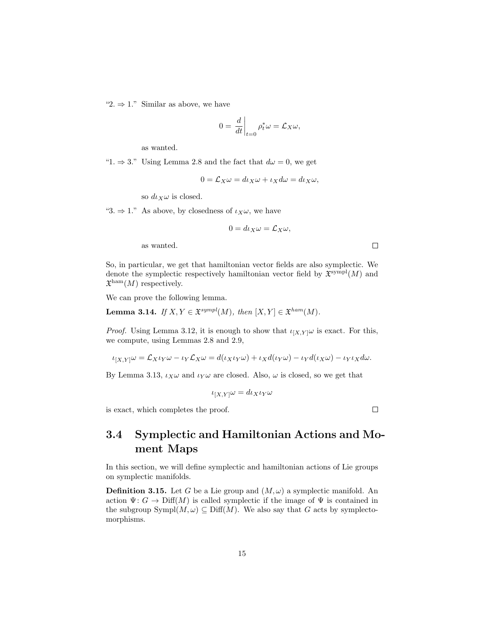"2.  $\Rightarrow$  1." Similar as above, we have

$$
0 = \left. \frac{d}{dt} \right|_{t=0} \rho_t^* \omega = \mathcal{L}_X \omega,
$$

as wanted.

"1.  $\Rightarrow$  3." Using Lemma [2.8](#page-6-1) and the fact that  $d\omega = 0$ , we get

$$
0 = \mathcal{L}_X \omega = d\iota_X \omega + \iota_X d\omega = d\iota_X \omega,
$$

so  $d\iota_X \omega$  is closed.

"3.  $\Rightarrow$  1." As above, by closedness of  $\iota_X\omega$ , we have

 $0 = d\iota_X \omega = \mathcal{L}_X \omega,$ 

as wanted.

So, in particular, we get that hamiltonian vector fields are also symplectic. We denote the symplectic respectively hamiltonian vector field by  $\mathfrak{X}^{\text{sympl}}(M)$  and  $\mathfrak{X}^{\text{ham}}(M)$  respectively.

We can prove the following lemma.

**Lemma 3.14.** If  $X, Y \in \mathfrak{X}^{sympl}(M)$ , then  $[X, Y] \in \mathfrak{X}^{ham}(M)$ .

*Proof.* Using Lemma [3.12,](#page-15-1) it is enough to show that  $\iota_{[X,Y]} \omega$  is exact. For this, we compute, using Lemmas [2.8](#page-6-1) and [2.9,](#page-6-2)

$$
\iota_{[X,Y]} \omega = \mathcal{L}_X \iota_Y \omega - \iota_Y \mathcal{L}_X \omega = d(\iota_X \iota_Y \omega) + \iota_X d(\iota_Y \omega) - \iota_Y d(\iota_X \omega) - \iota_Y \iota_X d\omega.
$$

By Lemma [3.13,](#page-15-2)  $\iota_X \omega$  and  $\iota_Y \omega$  are closed. Also,  $\omega$  is closed, so we get that

$$
\iota_{[X,Y]}\omega = d\iota_X \iota_Y \omega
$$

is exact, which completes the proof.

<span id="page-16-0"></span>3.4 Symplectic and Hamiltonian Actions and Moment Maps

In this section, we will define symplectic and hamiltonian actions of Lie groups on symplectic manifolds.

**Definition 3.15.** Let G be a Lie group and  $(M, \omega)$  a symplectic manifold. An action  $\Psi: G \to \text{Diff}(M)$  is called symplectic if the image of  $\Psi$  is contained in the subgroup  $Sympl(M, \omega) \subseteq Diff(M)$ . We also say that G acts by symplectomorphisms.

 $\Box$ 

 $\Box$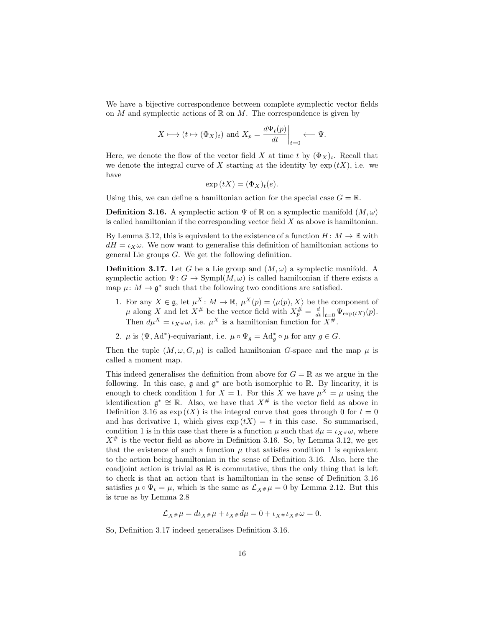We have a bijective correspondence between complete symplectic vector fields on M and symplectic actions of  $\mathbb R$  on M. The correspondence is given by

$$
X \longmapsto (t \mapsto (\Phi_X)_t)
$$
 and  $X_p = \frac{d\Psi_t(p)}{dt}\Big|_{t=0} \longleftarrow \Psi.$ 

Here, we denote the flow of the vector field X at time t by  $(\Phi_X)_t$ . Recall that we denote the integral curve of X starting at the identity by  $\exp(tX)$ , i.e. we have

$$
\exp(tX) = (\Phi_X)_t(e).
$$

Using this, we can define a hamiltonian action for the special case  $G = \mathbb{R}$ .

<span id="page-17-1"></span>**Definition 3.16.** A symplectic action  $\Psi$  of R on a symplectic manifold  $(M,\omega)$ is called hamiltonian if the corresponding vector field  $X$  as above is hamiltonian.

By Lemma [3.12,](#page-15-1) this is equivalent to the existence of a function  $H: M \to \mathbb{R}$  with  $dH = \iota_X \omega$ . We now want to generalise this definition of hamiltonian actions to general Lie groups G. We get the following definition.

<span id="page-17-2"></span>**Definition 3.17.** Let G be a Lie group and  $(M, \omega)$  a symplectic manifold. A symplectic action  $\Psi: G \to \text{Sympl}(M, \omega)$  is called hamiltonian if there exists a map  $\mu: M \to \mathfrak{g}^*$  such that the following two conditions are satisfied.

- <span id="page-17-0"></span>1. For any  $X \in \mathfrak{g}$ , let  $\mu^X \colon M \to \mathbb{R}$ ,  $\mu^X(p) = \langle \mu(p), X \rangle$  be the component of  $\mu$  along X and let  $X^{\#}$  be the vector field with  $X^{\#}_{p} = \frac{d}{dt}\Big|_{t=0} \Psi_{\exp(tX)}(p).$ Then  $d\mu^X = \iota_{X^{\#}}\omega$ , i.e.  $\mu^X$  is a hamiltonian function for  $X^{\#}$ .
- 2.  $\mu$  is  $(\Psi, \text{Ad}^*)$ -equivariant, i.e.  $\mu \circ \Psi_g = \text{Ad}_g^* \circ \mu$  for any  $g \in G$ .

Then the tuple  $(M, \omega, G, \mu)$  is called hamiltonian G-space and the map  $\mu$  is called a moment map.

This indeed generalises the definition from above for  $G = \mathbb{R}$  as we argue in the following. In this case,  $\mathfrak g$  and  $\mathfrak g^*$  are both isomorphic to  $\mathbb R$ . By linearity, it is enough to check condition [1](#page-17-0) for  $X = 1$ . For this X we have  $\mu^X = \mu$  using the identification  $\mathfrak{g}^* \cong \mathbb{R}$ . Also, we have that  $X^{\#}$  is the vector field as above in Definition [3.16](#page-17-1) as  $\exp(tX)$  is the integral curve that goes through 0 for  $t = 0$ and has derivative 1, which gives  $\exp(tX) = t$  in this case. So summarised, condition [1](#page-17-0) is in this case that there is a function  $\mu$  such that  $d\mu = \iota_{X^{\#}}\omega$ , where  $X^{\#}$  is the vector field as above in Definition [3.16.](#page-17-1) So, by Lemma [3.12,](#page-15-1) we get that the existence of such a function  $\mu$  that satisfies condition [1](#page-17-0) is equivalent to the action being hamiltonian in the sense of Definition [3.16.](#page-17-1) Also, here the coadjoint action is trivial as  $\mathbb R$  is commutative, thus the only thing that is left to check is that an action that is hamiltonian in the sense of Definition [3.16](#page-17-1) satisfies  $\mu \circ \Psi_t = \mu$ , which is the same as  $\mathcal{L}_{X^{\#}} \mu = 0$  by Lemma [2.12.](#page-7-2) But this is true as by Lemma [2.8](#page-6-1)

$$
\mathcal{L}_{X^{\#}}\mu = d\iota_{X^{\#}}\mu + \iota_{X^{\#}}d\mu = 0 + \iota_{X^{\#}}\iota_{X^{\#}}\omega = 0.
$$

So, Definition [3.17](#page-17-2) indeed generalises Definition [3.16.](#page-17-1)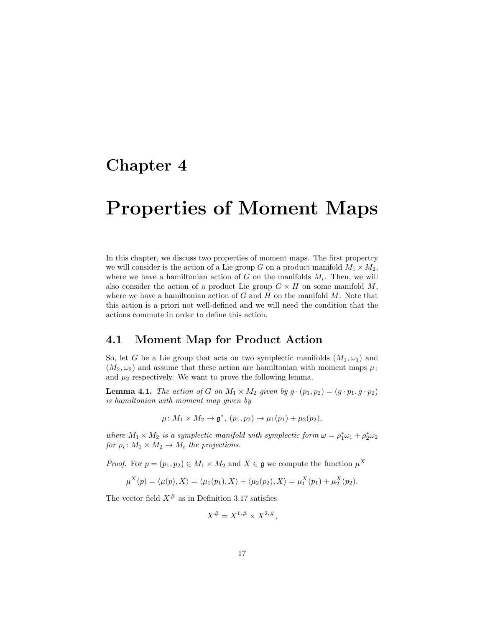# <span id="page-18-0"></span>Chapter 4

# Properties of Moment Maps

In this chapter, we discuss two properties of moment maps. The first propertry we will consider is the action of a Lie group G on a product manifold  $M_1 \times M_2$ , where we have a hamiltonian action of  $G$  on the manifolds  $M_i$ . Then, we will also consider the action of a product Lie group  $G \times H$  on some manifold M, where we have a hamiltonian action of  $G$  and  $H$  on the manifold  $M$ . Note that this action is a priori not well-defined and we will need the condition that the actions commute in order to define this action.

### <span id="page-18-1"></span>4.1 Moment Map for Product Action

So, let G be a Lie group that acts on two symplectic manifolds  $(M_1, \omega_1)$  and  $(M_2, \omega_2)$  and assume that these action are hamiltonian with moment maps  $\mu_1$ and  $\mu_2$  respectively. We want to prove the following lemma.

<span id="page-18-2"></span>**Lemma 4.1.** The action of G on  $M_1 \times M_2$  given by  $g \cdot (p_1, p_2) = (g \cdot p_1, g \cdot p_2)$ is hamiltonian with moment map given by

$$
\mu\colon M_1\times M_2\to\mathfrak{g}^*,\ (p_1,p_2)\mapsto\mu_1(p_1)+\mu_2(p_2),
$$

where  $M_1 \times M_2$  is a symplectic manifold with symplectic form  $\omega = \rho_1^* \omega_1 + \rho_2^* \omega_2$ for  $\rho_i \colon M_1 \times M_2 \to M_i$  the projections.

*Proof.* For  $p = (p_1, p_2) \in M_1 \times M_2$  and  $X \in \mathfrak{g}$  we compute the function  $\mu^X$ 

$$
\mu^X(p) = \langle \mu(p), X \rangle = \langle \mu_1(p_1), X \rangle + \langle \mu_2(p_2), X \rangle = \mu_1^X(p_1) + \mu_2^X(p_2).
$$

The vector field  $X^{\#}$  as in Definition [3.17](#page-17-2) satisfies

$$
X^{\#} = X^{1,\#} \times X^{2,\#},
$$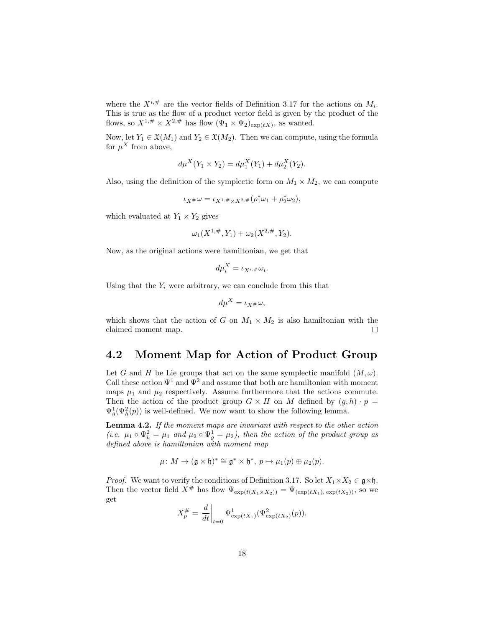where the  $X^{i,\#}$  are the vector fields of Definition [3.17](#page-17-2) for the actions on  $M_i$ . This is true as the flow of a product vector field is given by the product of the flows, so  $X^{1,\#} \times X^{2,\#}$  has flow  $(\Psi_1 \times \Psi_2)_{\exp(tX)}$ , as wanted.

Now, let  $Y_1 \in \mathfrak{X}(M_1)$  and  $Y_2 \in \mathfrak{X}(M_2)$ . Then we can compute, using the formula for  $\mu^X$  from above,

$$
d\mu^{X}(Y_1 \times Y_2) = d\mu_1^{X}(Y_1) + d\mu_2^{X}(Y_2).
$$

Also, using the definition of the symplectic form on  $M_1 \times M_2$ , we can compute

$$
\iota_{X^\#}\omega = \iota_{X^{1,\#}\times X^{2,\#}}(\rho_1^*\omega_1 + \rho_2^*\omega_2),
$$

which evaluated at  $Y_1 \times Y_2$  gives

$$
\omega_1(X^{1,\#}, Y_1) + \omega_2(X^{2,\#}, Y_2).
$$

Now, as the original actions were hamiltonian, we get that

$$
d\mu_i^X = \iota_{X^{i,\#}} \omega_i.
$$

Using that the  $Y_i$  were arbitrary, we can conclude from this that

$$
d\mu^X = \iota_{X^\#}\omega,
$$

which shows that the action of G on  $M_1 \times M_2$  is also hamiltonian with the claimed moment map.  $\Box$ 

### <span id="page-19-0"></span>4.2 Moment Map for Action of Product Group

Let G and H be Lie groups that act on the same symplectic manifold  $(M, \omega)$ . Call these action  $\Psi^1$  and  $\Psi^2$  and assume that both are hamiltonian with moment maps  $\mu_1$  and  $\mu_2$  respectively. Assume furthermore that the actions commute. Then the action of the product group  $G \times H$  on M defined by  $(g, h) \cdot p =$  $\Psi_g^1(\Psi_h^2(p))$  is well-defined. We now want to show the following lemma.

<span id="page-19-1"></span>Lemma 4.2. If the moment maps are invariant with respect to the other action (i.e.  $\mu_1 \circ \Psi_h^2 = \mu_1$  and  $\mu_2 \circ \Psi_g^1 = \mu_2$ ), then the action of the product group as defined above is hamiltonian with moment map

$$
\mu\colon M\to (\mathfrak{g}\times\mathfrak{h})^*\cong \mathfrak{g}^*\times\mathfrak{h}^*,\ p\mapsto \mu_1(p)\oplus\mu_2(p).
$$

*Proof.* We want to verify the conditions of Definition [3.17.](#page-17-2) So let  $X_1 \times X_2 \in \mathfrak{g} \times \mathfrak{h}$ . Then the vector field  $\check{X}^{\#}$  has flow  $\Psi_{\exp(t(X_1\times X_2))} = \Psi_{(\exp(tX_1), \exp(tX_2))}$ , so we get

$$
X_p^{\#} = \frac{d}{dt}\bigg|_{t=0} \Psi^1_{\exp(tX_1)}(\Psi^2_{\exp(tX_2)}(p)).
$$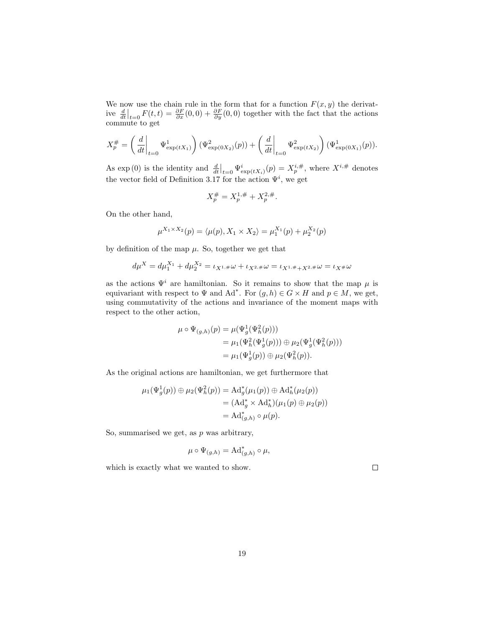We now use the chain rule in the form that for a function  $F(x, y)$  the derivative  $\frac{d}{dt}\Big|_{t=0} F(t,t) = \frac{\partial F}{\partial x}(0,0) + \frac{\partial F}{\partial y}(0,0)$  together with the fact that the actions commute to get

$$
X_p^{\#} = \left(\frac{d}{dt}\bigg|_{t=0} \Psi_{\exp(tX_1)}^1\right) \left(\Psi_{\exp(0X_2)}^2(p)\right) + \left(\frac{d}{dt}\bigg|_{t=0} \Psi_{\exp(tX_2)}^2\right) \left(\Psi_{\exp(0X_1)}^1(p)\right).
$$

As  $\exp(0)$  is the identity and  $\frac{d}{dt}\Big|_{t=0} \Psi^i_{\exp(tX_i)}(p) = X_p^{i,\#}$ , where  $X^{i,\#}$  denotes the vector field of Definition [3.17](#page-17-2) for the action  $\Psi^i$ , we get

$$
X_p^{\#} = X_p^{1,\#} + X_p^{2,\#}.
$$

On the other hand,

$$
\mu^{X_1 \times X_2}(p) = \langle \mu(p), X_1 \times X_2 \rangle = \mu_1^{X_1}(p) + \mu_2^{X_2}(p)
$$

by definition of the map  $\mu$ . So, together we get that

$$
d\mu^{X} = d\mu_{1}^{X_{1}} + d\mu_{2}^{X_{2}} = \iota_{X^{1, \#}} \omega + \iota_{X^{2, \#}} \omega = \iota_{X^{1, \#} + X^{2, \#}} \omega = \iota_{X^{\#}} \omega
$$

as the actions  $\Psi^i$  are hamiltonian. So it remains to show that the map  $\mu$  is equivariant with respect to  $\Psi$  and  $\mathrm{Ad}^*$ . For  $(g,h) \in G \times H$  and  $p \in M$ , we get, using commutativity of the actions and invariance of the moment maps with respect to the other action,

$$
\mu \circ \Psi_{(g,h)}(p) = \mu(\Psi_g^1(\Psi_h^2(p))) \n= \mu_1(\Psi_h^2(\Psi_g^1(p))) \oplus \mu_2(\Psi_g^1(\Psi_h^2(p))) \n= \mu_1(\Psi_g^1(p)) \oplus \mu_2(\Psi_h^2(p)).
$$

As the original actions are hamiltonian, we get furthermore that

$$
\mu_1(\Psi_g^1(p)) \oplus \mu_2(\Psi_h^2(p)) = \mathrm{Ad}_g^*(\mu_1(p)) \oplus \mathrm{Ad}_h^*(\mu_2(p)) \n= (\mathrm{Ad}_g^* \times \mathrm{Ad}_h^*)(\mu_1(p) \oplus \mu_2(p)) \n= \mathrm{Ad}_{(g,h)}^* \circ \mu(p).
$$

So, summarised we get, as  $p$  was arbitrary,

$$
\mu \circ \Psi_{(g,h)} = \mathrm{Ad}^*_{(g,h)} \circ \mu,
$$

which is exactly what we wanted to show.

 $\Box$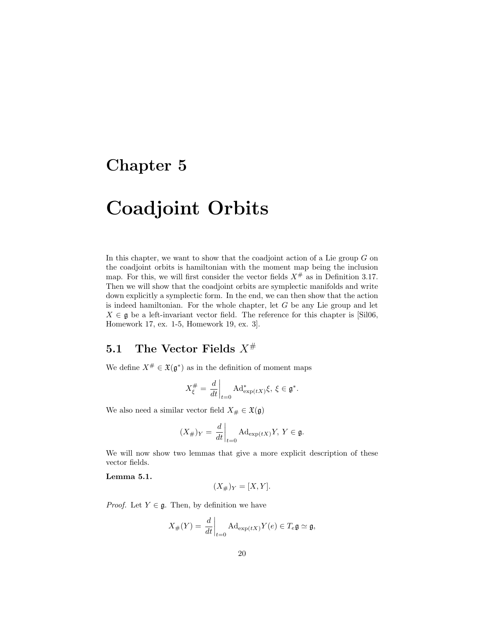# <span id="page-21-0"></span>Chapter 5

# Coadjoint Orbits

In this chapter, we want to show that the coadjoint action of a Lie group  $G$  on the coadjoint orbits is hamiltonian with the moment map being the inclusion map. For this, we will first consider the vector fields  $X^{\#}$  as in Definition [3.17.](#page-17-2) Then we will show that the coadjoint orbits are symplectic manifolds and write down explicitly a symplectic form. In the end, we can then show that the action is indeed hamiltonian. For the whole chapter, let  $G$  be any Lie group and let  $X \in \mathfrak{g}$  be a left-invariant vector field. The reference for this chapter is [\[Sil06,](#page-36-4) Homework 17, ex. 1-5, Homework 19, ex. 3].

## <span id="page-21-1"></span>5.1 The Vector Fields  $X^{\#}$

We define  $X^{\#} \in \mathfrak{X}(\mathfrak{g}^*)$  as in the definition of moment maps

$$
X_{\xi}^{\#} = \left. \frac{d}{dt} \right|_{t=0} \mathrm{Ad}^*_{\exp(tX)} \xi, \ \xi \in \mathfrak{g}^*.
$$

We also need a similar vector field  $X_{\#} \in \mathfrak{X}(\mathfrak{g})$ 

$$
(X_{\#})_Y = \frac{d}{dt}\Big|_{t=0} \text{Ad}_{\exp(tX)}Y, \ Y \in \mathfrak{g}.
$$

We will now show two lemmas that give a more explicit description of these vector fields.

<span id="page-21-2"></span>Lemma 5.1.

$$
(X_{\#})_Y = [X, Y].
$$

*Proof.* Let  $Y \in \mathfrak{g}$ . Then, by definition we have

$$
X_{\#}(Y) = \frac{d}{dt}\bigg|_{t=0} \text{Ad}_{\exp(tX)}Y(e) \in T_e \mathfrak{g} \simeq \mathfrak{g},
$$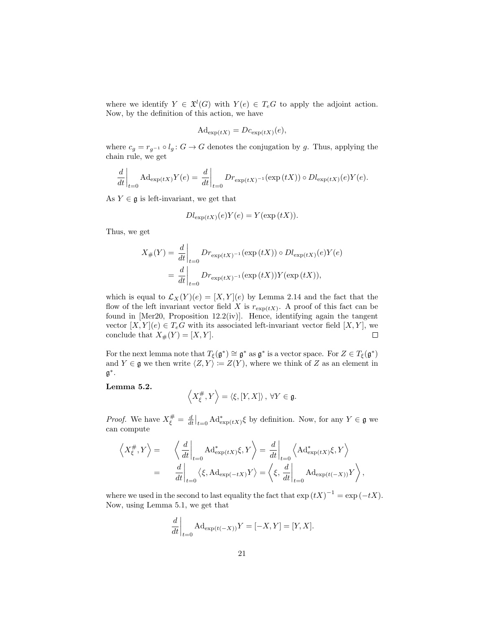where we identify  $Y \in \mathfrak{X}^l(G)$  with  $Y(e) \in T_eG$  to apply the adjoint action. Now, by the definition of this action, we have

$$
Ad_{\exp(tX)} = Dc_{\exp(tX)}(e),
$$

where  $c_g = r_{g^{-1}} \circ l_g : G \to G$  denotes the conjugation by g. Thus, applying the chain rule, we get

$$
\frac{d}{dt}\bigg|_{t=0} \operatorname{Ad}_{\exp(tX)} Y(e) = \frac{d}{dt}\bigg|_{t=0} Dr_{\exp(tX)^{-1}}(\exp(tX)) \circ Dl_{\exp(tX)}(e)Y(e).
$$

As  $Y \in \mathfrak{g}$  is left-invariant, we get that

$$
Dl_{\exp(tX)}(e)Y(e) = Y(\exp(tX)).
$$

Thus, we get

$$
X_{\#}(Y) = \frac{d}{dt}\Big|_{t=0} Dr_{\exp(tX)^{-1}}(\exp(tX)) \circ Dl_{\exp(tX)}(e)Y(e)
$$

$$
= \frac{d}{dt}\Big|_{t=0} Dr_{\exp(tX)^{-1}}(\exp(tX))Y(\exp(tX)),
$$

which is equal to  $\mathcal{L}_X(Y)(e) = [X, Y](e)$  by Lemma [2.14](#page-7-3) and the fact that the flow of the left invariant vector field X is  $r_{\exp(tX)}$ . A proof of this fact can be found in [\[Mer20,](#page-36-5) Proposition 12.2(iv)]. Hence, identifying again the tangent vector  $[X, Y](e) \in T_eG$  with its associated left-invariant vector field  $[X, Y]$ , we conclude that  $X_{\#}(Y) = [X, Y].$  $\Box$ 

For the next lemma note that  $T_{\xi}(\mathfrak{g}^*) \cong \mathfrak{g}^*$  as  $\mathfrak{g}^*$  is a vector space. For  $Z \in T_{\xi}(\mathfrak{g}^*)$ and  $Y \in \mathfrak{g}$  we then write  $\langle Z, Y \rangle := Z(Y)$ , where we think of Z as an element in  $\mathfrak{g}^*$  .

<span id="page-22-0"></span>Lemma 5.2.

$$
\left\langle X_{\xi}^{\#}, Y\right\rangle = \left\langle \xi, [Y, X] \right\rangle, \ \forall Y \in \mathfrak{g}.
$$

*Proof.* We have  $X_{\xi}^{\#} = \frac{d}{dt}\big|_{t=0} A d_{\exp(tX)}^* \xi$  by definition. Now, for any  $Y \in \mathfrak{g}$  we can compute

$$
\left\langle X_{\xi}^{\#}, Y \right\rangle = \left\langle \left. \frac{d}{dt} \right|_{t=0} \text{Ad}_{\exp(tX)}^{*} \xi, Y \right\rangle = \left. \frac{d}{dt} \right|_{t=0} \left\langle \text{Ad}_{\exp(tX)}^{*} \xi, Y \right\rangle
$$
  

$$
= \left. \frac{d}{dt} \right|_{t=0} \left\langle \xi, \text{Ad}_{\exp(-tX)} Y \right\rangle = \left\langle \xi, \left. \frac{d}{dt} \right|_{t=0} \text{Ad}_{\exp(t(-X))} Y \right\rangle,
$$

where we used in the second to last equality the fact that  $\exp(tX)^{-1} = \exp(-tX)$ . Now, using Lemma [5.1,](#page-21-2) we get that

$$
\left. \frac{d}{dt} \right|_{t=0} \mathrm{Ad}_{\exp(t(-X))} Y = [-X, Y] = [Y, X].
$$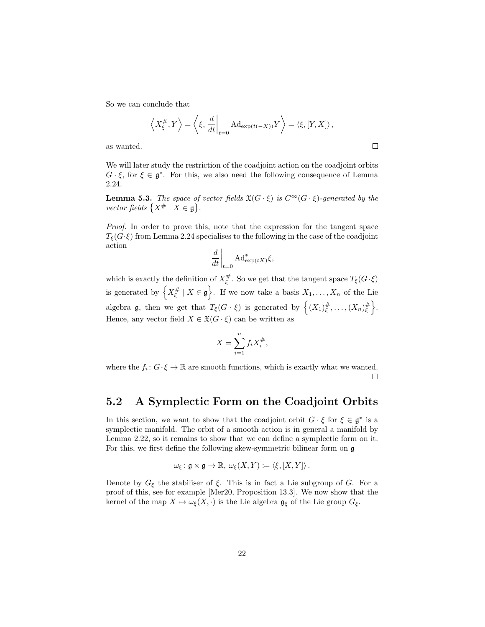So we can conclude that

$$
\langle X_{\xi}^{\#}, Y \rangle = \langle \xi, \frac{d}{dt} \Big|_{t=0} \text{Ad}_{\exp(t(-X))} Y \rangle = \langle \xi, [Y, X] \rangle,
$$

 $\Box$ 

as wanted.

We will later study the restriction of the coadjoint action on the coadjoint orbits  $G \cdot \xi$ , for  $\xi \in \mathfrak{g}^*$ . For this, we also need the following consequence of Lemma [2.24.](#page-11-0)

<span id="page-23-1"></span>**Lemma 5.3.** The space of vector fields  $\mathfrak{X}(G \cdot \xi)$  is  $C^{\infty}(G \cdot \xi)$ -generated by the vector fields  $\{X^{\#} \mid X \in \mathfrak{g}\}.$ 

Proof. In order to prove this, note that the expression for the tangent space  $T_{\xi}(G\cdot\xi)$  from Lemma [2.24](#page-11-0) specialises to the following in the case of the coadjoint action

$$
\left. \frac{d}{dt} \right|_{t=0} \mathrm{Ad}^*_{\exp(tX)} \xi,
$$

which is exactly the definition of  $X_{\xi}^{\#}$ . So we get that the tangent space  $T_{\xi}(G \cdot \xi)$ is generated by  $\left\{X_{\xi}^{\#} \mid X \in \mathfrak{g}\right\}$ . If we now take a basis  $X_1, \ldots, X_n$  of the Lie algebra **g**, then we get that  $T_{\xi}(G \cdot \xi)$  is generated by  $\left\{(X_1)_{\xi}^{\#}, \ldots, (X_n)_{\xi}^{\#}\right\}$ . Hence, any vector field  $X \in \mathfrak{X}(G \cdot \xi)$  can be written as

$$
X = \sum_{i=1}^{n} f_i X_i^{\#},
$$

where the  $f_i: G \cdot \xi \to \mathbb{R}$  are smooth functions, which is exactly what we wanted.  $\Box$ 

## <span id="page-23-0"></span>5.2 A Symplectic Form on the Coadjoint Orbits

In this section, we want to show that the coadjoint orbit  $G \cdot \xi$  for  $\xi \in \mathfrak{g}^*$  is a symplectic manifold. The orbit of a smooth action is in general a manifold by Lemma [2.22,](#page-11-1) so it remains to show that we can define a symplectic form on it. For this, we first define the following skew-symmetric bilinear form on g

$$
\omega_{\xi} \colon \mathfrak{g} \times \mathfrak{g} \to \mathbb{R}, \, \omega_{\xi}(X, Y) \coloneqq \langle \xi, [X, Y] \rangle \, .
$$

Denote by  $G_{\xi}$  the stabiliser of  $\xi$ . This is in fact a Lie subgroup of G. For a proof of this, see for example [\[Mer20,](#page-36-5) Proposition 13.3]. We now show that the kernel of the map  $X \mapsto \omega_{\xi}(X, \cdot)$  is the Lie algebra  $\mathfrak{g}_{\xi}$  of the Lie group  $G_{\xi}$ .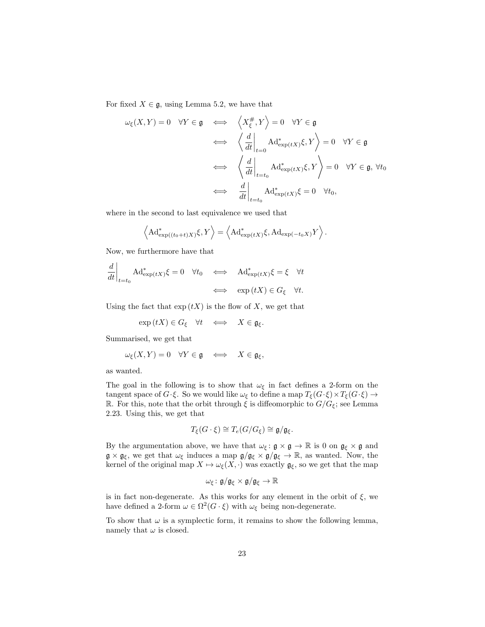For fixed  $X \in \mathfrak{g}$ , using Lemma [5.2,](#page-22-0) we have that

$$
\omega_{\xi}(X, Y) = 0 \quad \forall Y \in \mathfrak{g} \iff \left\langle X_{\xi}^{\#}, Y \right\rangle = 0 \quad \forall Y \in \mathfrak{g}
$$

$$
\iff \left\langle \frac{d}{dt} \Big|_{t=0} \text{Ad}^{*}_{\exp(tX)} \xi, Y \right\rangle = 0 \quad \forall Y \in \mathfrak{g}
$$

$$
\iff \left\langle \frac{d}{dt} \Big|_{t=t_0} \text{Ad}^{*}_{\exp(tX)} \xi, Y \right\rangle = 0 \quad \forall Y \in \mathfrak{g}, \forall t_0
$$

$$
\iff \left\langle \frac{d}{dt} \Big|_{t=t_0} \text{Ad}^{*}_{\exp(tX)} \xi = 0 \quad \forall t_0,
$$

where in the second to last equivalence we used that

$$
\langle \mathrm{Ad}^*_{\exp((t_0+t)X)} \xi, Y \rangle = \langle \mathrm{Ad}^*_{\exp(tX)} \xi, \mathrm{Ad}_{\exp(-t_0X)} Y \rangle.
$$

Now, we furthermore have that

$$
\left. \frac{d}{dt} \right|_{t=t_0} \text{Ad}^*_{\exp(tX)} \xi = 0 \quad \forall t_0 \quad \Longleftrightarrow \quad \text{Ad}^*_{\exp(tX)} \xi = \xi \quad \forall t
$$
\n
$$
\iff \quad \exp(tX) \in G_{\xi} \quad \forall t.
$$

Using the fact that  $\exp(tX)$  is the flow of X, we get that

$$
\exp(tX) \in G_{\xi} \quad \forall t \quad \Longleftrightarrow \quad X \in \mathfrak{g}_{\xi}.
$$

Summarised, we get that

$$
\omega_{\xi}(X,Y) = 0 \quad \forall Y \in \mathfrak{g} \quad \Longleftrightarrow \quad X \in \mathfrak{g}_{\xi},
$$

as wanted.

The goal in the following is to show that  $\omega_{\xi}$  in fact defines a 2-form on the tangent space of  $G \cdot \xi$ . So we would like  $\omega_{\xi}$  to define a map  $T_{\xi}(G \cdot \xi) \times T_{\xi}(G \cdot \xi) \to$ R. For this, note that the orbit through  $\xi$  is diffeomorphic to  $G/G_{\xi}$ ; see Lemma [2.23.](#page-11-2) Using this, we get that

$$
T_{\xi}(G \cdot \xi) \cong T_e(G/G_{\xi}) \cong \mathfrak{g}/\mathfrak{g}_{\xi}.
$$

By the argumentation above, we have that  $\omega_{\xi} : \mathfrak{g} \times \mathfrak{g} \to \mathbb{R}$  is 0 on  $\mathfrak{g}_{\xi} \times \mathfrak{g}$  and  $\mathfrak{g} \times \mathfrak{g}_{\xi}$ , we get that  $\omega_{\xi}$  induces a map  $\mathfrak{g}/\mathfrak{g}_{\xi} \times \mathfrak{g}/\mathfrak{g}_{\xi} \to \mathbb{R}$ , as wanted. Now, the kernel of the original map  $X \mapsto \omega_{\xi}(X, \cdot)$  was exactly  $\mathfrak{g}_{\xi}$ , so we get that the map

$$
\omega_{\xi} \colon \mathfrak{g}/\mathfrak{g}_{\xi} \times \mathfrak{g}/\mathfrak{g}_{\xi} \to \mathbb{R}
$$

is in fact non-degenerate. As this works for any element in the orbit of  $\xi$ , we have defined a 2-form  $\omega \in \Omega^2(G \cdot \xi)$  with  $\omega_{\xi}$  being non-degenerate.

To show that  $\omega$  is a symplectic form, it remains to show the following lemma, namely that  $\omega$  is closed.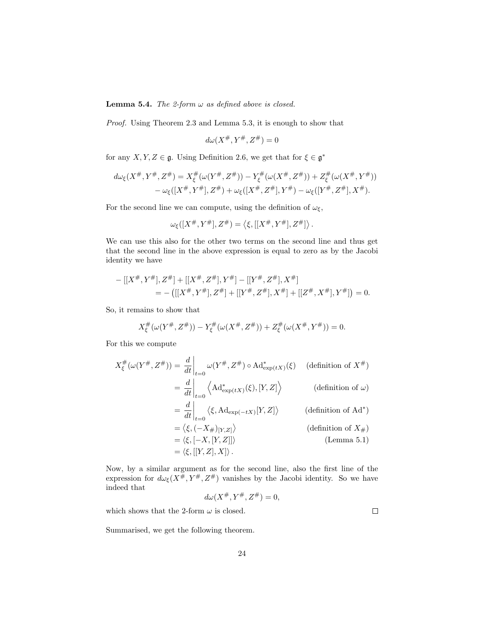**Lemma 5.4.** The 2-form  $\omega$  as defined above is closed.

Proof. Using Theorem [2.3](#page-5-0) and Lemma [5.3,](#page-23-1) it is enough to show that

$$
d\omega(X^\#, Y^\#, Z^\#)=0
$$

for any  $X, Y, Z \in \mathfrak{g}$ . Using Definition [2.6,](#page-6-3) we get that for  $\xi \in \mathfrak{g}^*$ 

$$
d\omega_{\xi}(X^{\#}, Y^{\#}, Z^{\#}) = X_{\xi}^{\#}(\omega(Y^{\#}, Z^{\#})) - Y_{\xi}^{\#}(\omega(X^{\#}, Z^{\#})) + Z_{\xi}^{\#}(\omega(X^{\#}, Y^{\#}))
$$
  

$$
- \omega_{\xi}([X^{\#}, Y^{\#}], Z^{\#}) + \omega_{\xi}([X^{\#}, Z^{\#}], Y^{\#}) - \omega_{\xi}([Y^{\#}, Z^{\#}], X^{\#}).
$$

For the second line we can compute, using the definition of  $\omega_{\xi}$ ,

$$
\omega_{\xi}([X^{\#},Y^{\#}],Z^{\#})=\langle \xi, [[X^{\#},Y^{\#}],Z^{\#}] \rangle
$$

.

We can use this also for the other two terms on the second line and thus get that the second line in the above expression is equal to zero as by the Jacobi identity we have

$$
-[[X^{\#}, Y^{\#}], Z^{\#}] + [[X^{\#}, Z^{\#}], Y^{\#}] - [[Y^{\#}, Z^{\#}], X^{\#}]
$$
  
= -([[X^{\#}, Y^{\#}], Z^{\#}] + [[Y^{\#}, Z^{\#}], X^{\#}] + [[Z^{\#}, X^{\#}], Y^{\#}]) = 0.

So, it remains to show that

$$
X_{\xi}^{\#}(\omega(Y^{\#}, Z^{\#})) - Y_{\xi}^{\#}(\omega(X^{\#}, Z^{\#})) + Z_{\xi}^{\#}(\omega(X^{\#}, Y^{\#})) = 0.
$$

For this we compute

$$
X_{\xi}^{\#}(\omega(Y^{\#}, Z^{\#})) = \frac{d}{dt}\Big|_{t=0} \omega(Y^{\#}, Z^{\#}) \circ \mathrm{Ad}^{*}_{\exp(tX)}(\xi) \quad \text{(definition of } X^{\#})
$$
\n
$$
= \frac{d}{dt}\Big|_{t=0} \left\langle \mathrm{Ad}^{*}_{\exp(tX)}(\xi), [Y, Z] \right\rangle \quad \text{(definition of } \omega)
$$
\n
$$
= \frac{d}{dt}\Big|_{t=0} \left\langle \xi, \mathrm{Ad}_{\exp(-tX)}[Y, Z] \right\rangle \quad \text{(definition of } \mathrm{Ad}^{*})
$$
\n
$$
= \left\langle \xi, (-X_{\#})_{[Y, Z]} \right\rangle \quad \text{(definition of } X_{\#})
$$
\n
$$
= \left\langle \xi, [-X, [Y, Z]] \right\rangle \quad \text{(Lemma 5.1)}
$$
\n
$$
= \left\langle \xi, [[Y, Z], X] \right\rangle.
$$

Now, by a similar argument as for the second line, also the first line of the expression for  $d\omega_{\xi}(X^{\#}, Y^{\#}, Z^{\#})$  vanishes by the Jacobi identity. So we have indeed that

$$
d\omega(X^\#, Y^\#, Z^\#)=0,
$$

which shows that the 2-form  $\omega$  is closed.

Summarised, we get the following theorem.

 $\Box$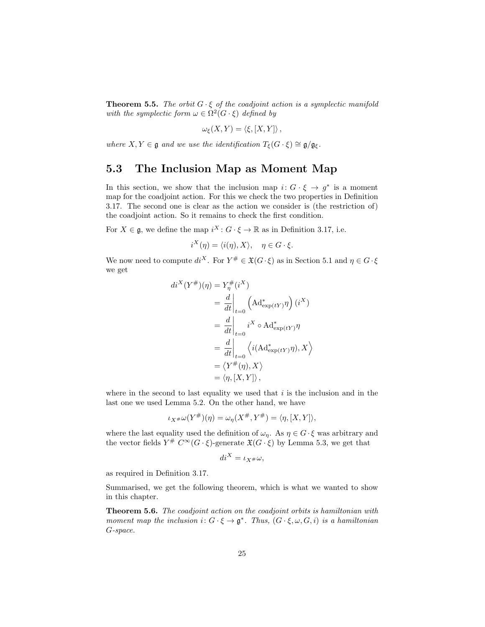**Theorem 5.5.** The orbit  $G \cdot \xi$  of the coadjoint action is a symplectic manifold with the symplectic form  $\omega \in \Omega^2(G \cdot \xi)$  defined by

$$
\omega_{\xi}(X,Y)=\langle \xi,[X,Y]\rangle,
$$

where  $X, Y \in \mathfrak{g}$  and we use the identification  $T_{\xi}(G \cdot \xi) \cong \mathfrak{g}/\mathfrak{g}_{\xi}$ .

## <span id="page-26-0"></span>5.3 The Inclusion Map as Moment Map

In this section, we show that the inclusion map  $i: G \cdot \xi \to g^*$  is a moment map for the coadjoint action. For this we check the two properties in Definition [3.17.](#page-17-2) The second one is clear as the action we consider is (the restriction of) the coadjoint action. So it remains to check the first condition.

For  $X \in \mathfrak{g}$ , we define the map  $i^X : G \cdot \xi \to \mathbb{R}$  as in Definition [3.17,](#page-17-2) i.e.

$$
i^X(\eta) = \langle i(\eta), X \rangle, \quad \eta \in G \cdot \xi.
$$

We now need to compute  $di^X$ . For  $Y^{\#} \in \mathfrak{X}(G \cdot \xi)$  as in Section [5.1](#page-21-1) and  $\eta \in G \cdot \xi$ we get

$$
di^{X}(Y^{\#})(\eta) = Y_{\eta}^{\#}(i^{X})
$$
  
=  $\frac{d}{dt}\Big|_{t=0}$   $(Ad^{*}_{exp(tY)}\eta) (i^{X})$   
=  $\frac{d}{dt}\Big|_{t=0}$   $i^{X} \circ Ad^{*}_{exp(tY)}\eta$   
=  $\frac{d}{dt}\Big|_{t=0}$   $\Big\langle i(Ad^{*}_{exp(tY)}\eta), X \Big\rangle$   
=  $\langle Y^{\#}(\eta), X \rangle$   
=  $\langle \eta, [X, Y] \rangle$ ,

where in the second to last equality we used that  $i$  is the inclusion and in the last one we used Lemma [5.2.](#page-22-0) On the other hand, we have

$$
\iota_{X^{\#}}\omega(Y^{\#})(\eta) = \omega_{\eta}(X^{\#}, Y^{\#}) = \langle \eta, [X, Y] \rangle,
$$

where the last equality used the definition of  $\omega_{\eta}$ . As  $\eta \in G \cdot \xi$  was arbitrary and the vector fields  $Y^{\#} C^{\infty}(G \cdot \xi)$ -generate  $\mathfrak{X}(G \cdot \xi)$  by Lemma [5.3,](#page-23-1) we get that

$$
di^X = \iota_X \# \omega,
$$

as required in Definition [3.17.](#page-17-2)

Summarised, we get the following theorem, which is what we wanted to show in this chapter.

Theorem 5.6. The coadjoint action on the coadjoint orbits is hamiltonian with moment map the inclusion  $i: G \cdot \xi \to \mathfrak{g}^*$ . Thus,  $(G \cdot \xi, \omega, G, i)$  is a hamiltonian G-space.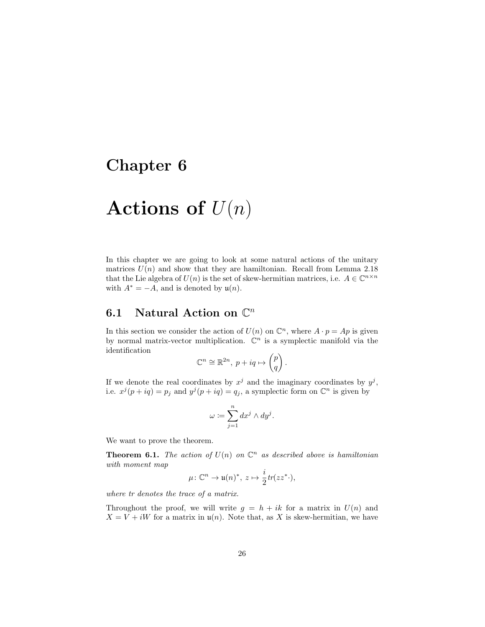# <span id="page-27-0"></span>Chapter 6

# Actions of  $U(n)$

In this chapter we are going to look at some natural actions of the unitary matrices  $U(n)$  and show that they are hamiltonian. Recall from Lemma [2.18](#page-9-1) that the Lie algebra of  $U(n)$  is the set of skew-hermitian matrices, i.e.  $A \in \mathbb{C}^{n \times n}$ with  $A^* = -A$ , and is denoted by  $\mathfrak{u}(n)$ .

# <span id="page-27-1"></span>6.1 Natural Action on  $\mathbb{C}^n$

In this section we consider the action of  $U(n)$  on  $\mathbb{C}^n$ , where  $A \cdot p = Ap$  is given by normal matrix-vector multiplication.  $\mathbb{C}^n$  is a symplectic manifold via the identification

$$
\mathbb{C}^n \cong \mathbb{R}^{2n}, \ p + iq \mapsto \begin{pmatrix} p \\ q \end{pmatrix}.
$$

If we denote the real coordinates by  $x^j$  and the imaginary coordinates by  $y^j$ , i.e.  $x^j(p+iq) = p_j$  and  $y^j(p+iq) = q_j$ , a symplectic form on  $\mathbb{C}^n$  is given by

$$
\omega \coloneqq \sum_{j=1}^n dx^j \wedge dy^j.
$$

We want to prove the theorem.

<span id="page-27-2"></span>**Theorem 6.1.** The action of  $U(n)$  on  $\mathbb{C}^n$  as described above is hamiltonian with moment map

$$
\mu\colon \mathbb{C}^n\to \mathfrak{u}(n)^*,\ z\mapsto \frac{i}{2}tr(zz^* \cdot),
$$

where tr denotes the trace of a matrix.

Throughout the proof, we will write  $g = h + ik$  for a matrix in  $U(n)$  and  $X = V + iW$  for a matrix in  $\mathfrak{u}(n)$ . Note that, as X is skew-hermitian, we have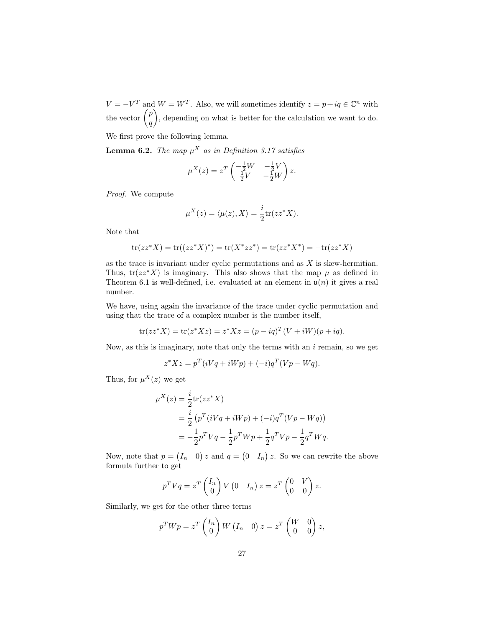$V = -V^T$  and  $W = W^T$ . Also, we will sometimes identify  $z = p + iq \in \mathbb{C}^n$  with the vector  $\binom{p}{q}$ q , depending on what is better for the calculation we want to do.

We first prove the following lemma.

<span id="page-28-0"></span>**Lemma 6.2.** The map  $\mu^X$  as in Definition [3.17](#page-17-2) satisfies

$$
\mu^X(z) = z^T \begin{pmatrix} -\frac{1}{2}W & -\frac{1}{2}V \\ \frac{1}{2}V & -\frac{1}{2}W \end{pmatrix} z.
$$

Proof. We compute

$$
\mu^{X}(z) = \langle \mu(z), X \rangle = \frac{i}{2} \text{tr}(zz^*X).
$$

Note that

$$
\overline{\text{tr}(zz^*X)} = \text{tr}((zz^*X)^*) = \text{tr}(X^*zz^*) = \text{tr}(zz^*X^*) = -\text{tr}(zz^*X)
$$

as the trace is invariant under cyclic permutations and as  $X$  is skew-hermitian. Thus,  $tr(zz^*X)$  is imaginary. This also shows that the map  $\mu$  as defined in Theorem [6.1](#page-27-2) is well-defined, i.e. evaluated at an element in  $\mathfrak{u}(n)$  it gives a real number.

We have, using again the invariance of the trace under cyclic permutation and using that the trace of a complex number is the number itself,

$$
tr(zz^*X) = tr(z^*Xz) = z^*Xz = (p - iq)^T(V + iW)(p + iq).
$$

Now, as this is imaginary, note that only the terms with an  $i$  remain, so we get

$$
z^*Xz = p^T(iVq + iWp) + (-i)q^T(Vp - Wq).
$$

Thus, for  $\mu^X(z)$  we get

$$
\mu^{X}(z) = \frac{i}{2} \text{tr}(zz^{*} X)
$$
  
=  $\frac{i}{2} (p^{T} (iVq + iWp) + (-i)q^{T} (Vp - Wq))$   
=  $-\frac{1}{2} p^{T} Vq - \frac{1}{2} p^{T} Wp + \frac{1}{2} q^{T} Vp - \frac{1}{2} q^{T} Wq.$ 

Now, note that  $p = (I_n \ 0) z$  and  $q = (0 \ I_n) z$ . So we can rewrite the above formula further to get

$$
p^T V q = z^T \begin{pmatrix} I_n \\ 0 \end{pmatrix} V \begin{pmatrix} 0 & I_n \end{pmatrix} z = z^T \begin{pmatrix} 0 & V \\ 0 & 0 \end{pmatrix} z.
$$

Similarly, we get for the other three terms

$$
p^T W p = z^T \begin{pmatrix} I_n \\ 0 \end{pmatrix} W \begin{pmatrix} I_n & 0 \end{pmatrix} z = z^T \begin{pmatrix} W & 0 \\ 0 & 0 \end{pmatrix} z,
$$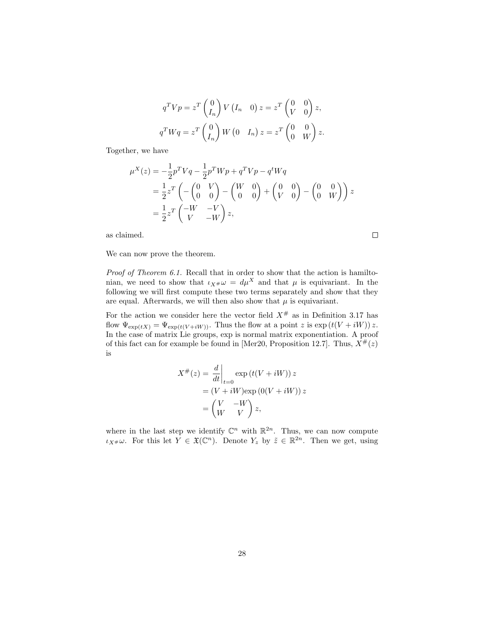$$
q^T V p = z^T \begin{pmatrix} 0 \\ I_n \end{pmatrix} V (I_n \quad 0) z = z^T \begin{pmatrix} 0 & 0 \\ V & 0 \end{pmatrix} z,
$$
  

$$
q^T W q = z^T \begin{pmatrix} 0 \\ I_n \end{pmatrix} W (0 \quad I_n) z = z^T \begin{pmatrix} 0 & 0 \\ 0 & W \end{pmatrix} z.
$$

Together, we have

$$
\mu^{X}(z) = -\frac{1}{2}p^{T}Vq - \frac{1}{2}p^{T}Wp + q^{T}Vp - q^{t}Wq
$$
  
=  $\frac{1}{2}z^{T}\left(-\begin{pmatrix}0&V\\0&0\end{pmatrix}-\begin{pmatrix}W&0\\0&0\end{pmatrix}+\begin{pmatrix}0&0\\V&0\end{pmatrix}-\begin{pmatrix}0&0\\0&W\end{pmatrix}\right)z$   
=  $\frac{1}{2}z^{T}\begin{pmatrix}-W&-V\\V&-W\end{pmatrix}z$ ,

as claimed.

We can now prove the theorem.

Proof of Theorem [6.1.](#page-27-2) Recall that in order to show that the action is hamiltonian, we need to show that  $\iota_{X}\mu\omega = d\mu^{X}$  and that  $\mu$  is equivariant. In the following we will first compute these two terms separately and show that they are equal. Afterwards, we will then also show that  $\mu$  is equivariant.

For the action we consider here the vector field  $X^{\#}$  as in Definition [3.17](#page-17-2) has flow  $\Psi_{\exp(tX)} = \Psi_{\exp(t(V+iW))}$ . Thus the flow at a point z is  $\exp(t(V+iW))$  z. In the case of matrix Lie groups, exp is normal matrix exponentiation. A proof of this fact can for example be found in [\[Mer20,](#page-36-5) Proposition 12.7]. Thus,  $X^{\#}(z)$ is

$$
X^{\#}(z) = \frac{d}{dt}\Big|_{t=0} \exp(t(V + iW)) z
$$
  
=  $(V + iW)\exp(0(V + iW)) z$   
=  $\begin{pmatrix} V & -W \\ W & V \end{pmatrix} z,$ 

where in the last step we identify  $\mathbb{C}^n$  with  $\mathbb{R}^{2n}$ . Thus, we can now compute  $\iota_{X^{\#}}\omega$ . For this let  $Y \in \mathfrak{X}(\mathbb{C}^n)$ . Denote  $Y_z$  by  $\tilde{z} \in \mathbb{R}^{2n}$ . Then we get, using

 $\Box$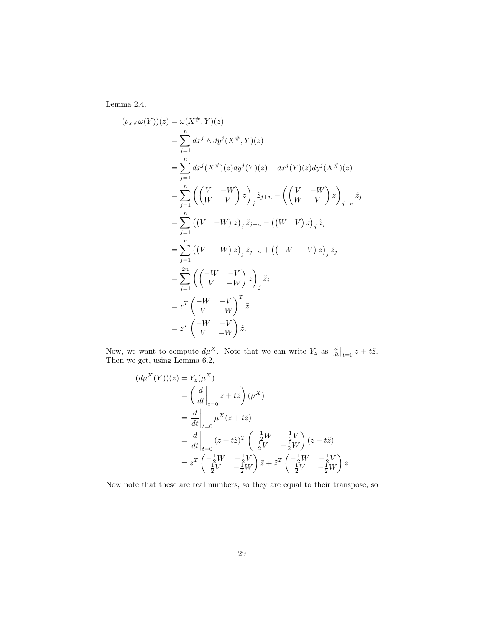Lemma [2.4,](#page-5-1)

$$
(i_{X^{\#}}\omega(Y))(z) = \omega(X^{\#}, Y)(z)
$$
  
=  $\sum_{j=1}^{n} dx^{j} \wedge dy^{j}(X^{\#}, Y)(z)$   
=  $\sum_{j=1}^{n} dx^{j}(X^{\#})(z)dy^{j}(Y)(z) - dx^{j}(Y)(z)dy^{j}(X^{\#})(z)$   
=  $\sum_{j=1}^{n} ((\begin{pmatrix} V & -W \\ W & V \end{pmatrix} z)_{j} \tilde{z}_{j+n} - ((\begin{pmatrix} V & -W \\ W & V \end{pmatrix} z)_{j+n} \tilde{z}_{j}$   
=  $\sum_{j=1}^{n} ((V - W) z)_{j} \tilde{z}_{j+n} + ((-W - V) z)_{j} \tilde{z}_{j}$   
=  $\sum_{j=1}^{2n} ((\begin{pmatrix} -W & -V \\ V & -W \end{pmatrix} z)_{j} \tilde{z}_{j}$   
=  $z^{T} (\begin{pmatrix} -W & -V \\ V & -W \end{pmatrix}^{T} \tilde{z}$   
=  $z^{T} (\begin{pmatrix} -W & -V \\ V & -W \end{pmatrix} \tilde{z}$ .

Now, we want to compute  $d\mu^X$ . Note that we can write  $Y_z$  as  $\frac{d}{dt}\big|_{t=0} z + t\tilde{z}$ . Then we get, using Lemma [6.2,](#page-28-0)

$$
(d\mu^{X}(Y))(z) = Y_{z}(\mu^{X})
$$
  
=  $\left(\frac{d}{dt}\Big|_{t=0} z + t\tilde{z}\right) (\mu^{X})$   
=  $\frac{d}{dt}\Big|_{t=0} \mu^{X}(z + t\tilde{z})$   
=  $\frac{d}{dt}\Big|_{t=0} (z + t\tilde{z})^{T} \left(\frac{-\frac{1}{2}W}{\frac{1}{2}V} - \frac{1}{2}W\right) (z + t\tilde{z})$   
=  $z^{T} \left(\frac{-\frac{1}{2}W}{\frac{1}{2}V} - \frac{1}{2}W\right) \tilde{z} + \tilde{z}^{T} \left(\frac{-\frac{1}{2}W}{\frac{1}{2}V} - \frac{1}{2}W\right) z$ 

Now note that these are real numbers, so they are equal to their transpose, so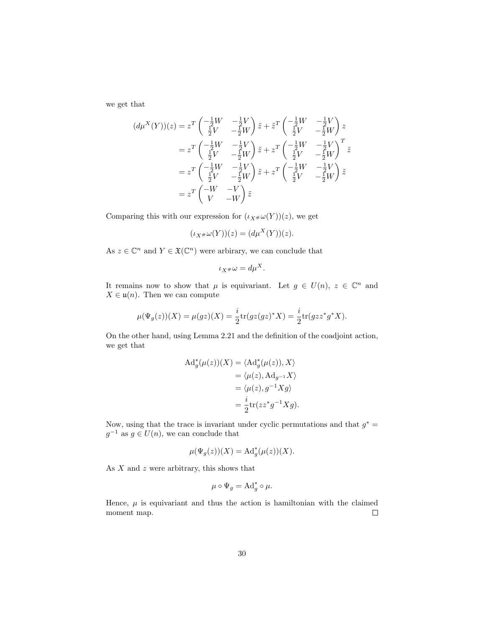we get that

$$
(d\mu^{X}(Y))(z) = z^{T} \begin{pmatrix} -\frac{1}{2}W & -\frac{1}{2}V \\ \frac{1}{2}V & -\frac{1}{2}W \end{pmatrix} \tilde{z} + \tilde{z}^{T} \begin{pmatrix} -\frac{1}{2}W & -\frac{1}{2}V \\ \frac{1}{2}V & -\frac{1}{2}W \end{pmatrix} z
$$
  
\n
$$
= z^{T} \begin{pmatrix} -\frac{1}{2}W & -\frac{1}{2}V \\ \frac{1}{2}V & -\frac{1}{2}W \end{pmatrix} \tilde{z} + z^{T} \begin{pmatrix} -\frac{1}{2}W & -\frac{1}{2}V \\ \frac{1}{2}V & -\frac{1}{2}W \end{pmatrix}^{T} \tilde{z}
$$
  
\n
$$
= z^{T} \begin{pmatrix} -\frac{1}{2}W & -\frac{1}{2}V \\ \frac{1}{2}V & -\frac{1}{2}W \end{pmatrix} \tilde{z} + z^{T} \begin{pmatrix} -\frac{1}{2}W & -\frac{1}{2}V \\ \frac{1}{2}V & -\frac{1}{2}W \end{pmatrix} \tilde{z}
$$
  
\n
$$
= z^{T} \begin{pmatrix} -W & -V \\ V & -W \end{pmatrix} \tilde{z}
$$

Comparing this with our expression for  $(\iota_{X^{\#}}\omega(Y))(z)$ , we get

$$
(\iota_{X^{\#}}\omega(Y))(z) = (d\mu^X(Y))(z).
$$

As  $z \in \mathbb{C}^n$  and  $Y \in \mathfrak{X}(\mathbb{C}^n)$  were arbirary, we can conclude that

$$
\iota_X \# \omega = d\mu^X.
$$

It remains now to show that  $\mu$  is equivariant. Let  $g \in U(n)$ ,  $z \in \mathbb{C}^n$  and  $X \in \mathfrak{u}(n)$ . Then we can compute

$$
\mu(\Psi_g(z))(X) = \mu(gz)(X) = \frac{i}{2} \text{tr}(gz(gz)^*X) = \frac{i}{2} \text{tr}(gzz^*g^*X).
$$

On the other hand, using Lemma [2.21](#page-9-2) and the definition of the coadjoint action, we get that

$$
Ad_g^*(\mu(z))(X) = \langle Ad_g^*(\mu(z)), X \rangle
$$
  
=  $\langle \mu(z), Ad_{g^{-1}}X \rangle$   
=  $\langle \mu(z), g^{-1}Xg \rangle$   
=  $\frac{i}{2} \text{tr}(zz^*g^{-1}Xg).$ 

Now, using that the trace is invariant under cyclic permutations and that  $g^* =$  $g^{-1}$  as  $g \in U(n)$ , we can conclude that

$$
\mu(\Psi_g(z))(X) = \mathrm{Ad}_g^*(\mu(z))(X).
$$

As  $X$  and  $z$  were arbitrary, this shows that

$$
\mu \circ \Psi_g = \mathrm{Ad}_g^* \circ \mu.
$$

Hence,  $\mu$  is equivariant and thus the action is hamiltonian with the claimed moment map.  $\Box$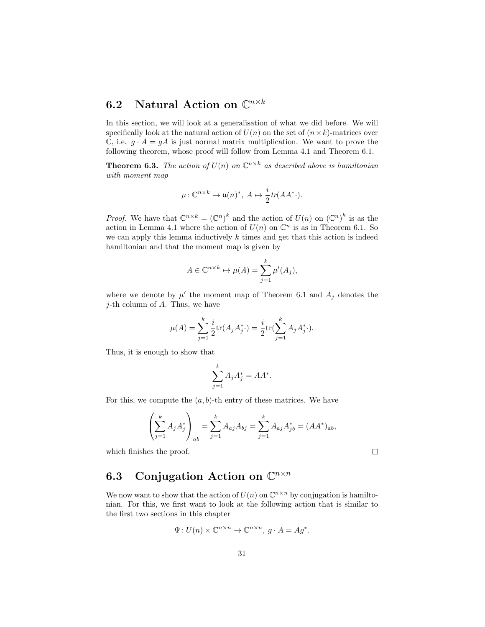# <span id="page-32-0"></span>6.2 Natural Action on  $\mathbb{C}^{n\times k}$

In this section, we will look at a generalisation of what we did before. We will specifically look at the natural action of  $U(n)$  on the set of  $(n \times k)$ -matrices over  $\mathbb{C}$ , i.e.  $g \cdot A = gA$  is just normal matrix multiplication. We want to prove the following theorem, whose proof will follow from Lemma [4.1](#page-18-2) and Theorem [6.1.](#page-27-2)

<span id="page-32-2"></span>**Theorem 6.3.** The action of  $U(n)$  on  $\mathbb{C}^{n \times k}$  as described above is hamiltonian with moment map

$$
\mu\colon \mathbb{C}^{n\times k}\to \mathfrak{u}(n)^*,\ A\mapsto \frac{i}{2}\operatorname{tr}(AA^* \cdot).
$$

*Proof.* We have that  $\mathbb{C}^{n \times k} = (\mathbb{C}^n)^k$  and the action of  $U(n)$  on  $(\mathbb{C}^n)^k$  is as the action in Lemma [4.1](#page-18-2) where the action of  $U(n)$  on  $\mathbb{C}^n$  is as in Theorem [6.1.](#page-27-2) So we can apply this lemma inductively  $k$  times and get that this action is indeed hamiltonian and that the moment map is given by

$$
A \in \mathbb{C}^{n \times k} \mapsto \mu(A) = \sum_{j=1}^{k} \mu'(A_j),
$$

where we denote by  $\mu'$  the moment map of Theorem [6.1](#page-27-2) and  $A_j$  denotes the  $j$ -th column of  $A$ . Thus, we have

$$
\mu(A) = \sum_{j=1}^{k} \frac{i}{2} \text{tr}(A_j A_j^*) = \frac{i}{2} \text{tr}(\sum_{j=1}^{k} A_j A_j^*).
$$

Thus, it is enough to show that

$$
\sum_{j=1}^k A_j A_j^* = A A^*.
$$

For this, we compute the  $(a, b)$ -th entry of these matrices. We have

$$
\left(\sum_{j=1}^k A_j A_j^*\right)_{ab} = \sum_{j=1}^k A_{aj} \overline{A}_{bj} = \sum_{j=1}^k A_{aj} A_{jb}^* = (AA^*)_{ab},
$$

which finishes the proof.

 $\Box$ 

# <span id="page-32-1"></span>6.3 Conjugation Action on  $\mathbb{C}^{n \times n}$

We now want to show that the action of  $U(n)$  on  $\mathbb{C}^{n \times n}$  by conjugation is hamiltonian. For this, we first want to look at the following action that is similar to the first two sections in this chapter

$$
\Psi: U(n) \times \mathbb{C}^{n \times n} \to \mathbb{C}^{n \times n}, g \cdot A = Ag^*.
$$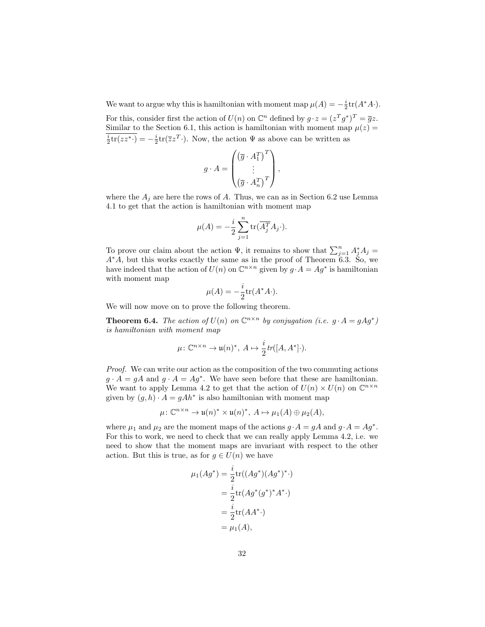We want to argue why this is hamiltonian with moment map  $\mu(A) = -\frac{i}{2} \text{tr}(A^*A \cdot)$ . For this, consider first the action of  $U(n)$  on  $\mathbb{C}^n$  defined by  $g \cdot z = (z^T g^*)^T = \overline{g}z$ . Similar to the Section [6.1,](#page-27-1) this action is hamiltonian with moment map  $\mu(z)$  =  $\frac{i}{2}$ tr(zz<sup>\*</sup>·) =  $-\frac{i}{2}$ tr( $\overline{z}z^T$ ·). Now, the action  $\Psi$  as above can be written as

$$
g \cdot A = \begin{pmatrix} \left(\overline{g} \cdot A_1^T\right)^T \\ \vdots \\ \left(\overline{g} \cdot A_n^T\right)^T \end{pmatrix},
$$

where the  $A_j$  are here the rows of A. Thus, we can as in Section [6.2](#page-32-0) use Lemma [4.1](#page-18-2) to get that the action is hamiltonian with moment map

$$
\mu(A) = -\frac{i}{2} \sum_{j=1}^{n} \text{tr}(\overline{A_j^T} A_j \cdot).
$$

To prove our claim about the action  $\Psi$ , it remains to show that  $\sum_{j=1}^{n} A_j^* A_j =$  $A^*A$ , but this works exactly the same as in the proof of Theorem [6.3.](#page-32-2) So, we have indeed that the action of  $U(n)$  on  $\mathbb{C}^{n \times n}$  given by  $g \cdot A = Ag^*$  is hamiltonian with moment map

$$
\mu(A) = -\frac{i}{2} \text{tr}(A^*A \cdot).
$$

We will now move on to prove the following theorem.

**Theorem 6.4.** The action of  $U(n)$  on  $\mathbb{C}^{n \times n}$  by conjugation (i.e.  $g \cdot A = g A g^*$ ) is hamiltonian with moment map

$$
\mu\colon \mathbb{C}^{n\times n}\to \mathfrak{u}(n)^*,\ A\mapsto \frac{i}{2} \text{tr}([A,A^*]\cdot).
$$

Proof. We can write our action as the composition of the two commuting actions  $g \cdot A = gA$  and  $g \cdot A = Ag^*$ . We have seen before that these are hamiltonian. We want to apply Lemma [4.2](#page-19-1) to get that the action of  $U(n) \times U(n)$  on  $\mathbb{C}^{n \times n}$ given by  $(g, h) \cdot A = gAh^*$  is also hamiltonian with moment map

$$
\mu\colon \mathbb{C}^{n\times n}\to \mathfrak{u}(n)^*\times \mathfrak{u}(n)^*,\ A\mapsto \mu_1(A)\oplus \mu_2(A),
$$

where  $\mu_1$  and  $\mu_2$  are the moment maps of the actions  $g \cdot A = gA$  and  $g \cdot A = Ag^*$ . For this to work, we need to check that we can really apply Lemma [4.2,](#page-19-1) i.e. we need to show that the moment maps are invariant with respect to the other action. But this is true, as for  $g \in U(n)$  we have

$$
\mu_1(Ag^*) = \frac{i}{2} \text{tr}((Ag^*)(Ag^*)^* \cdot)
$$
  
=  $\frac{i}{2} \text{tr}(Ag^*(g^*)^* A^* \cdot)$   
=  $\frac{i}{2} \text{tr}(AA^* \cdot)$   
=  $\mu_1(A),$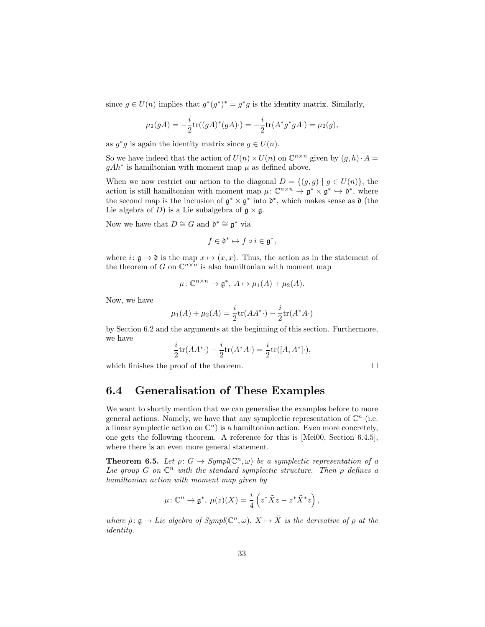since  $g \in U(n)$  implies that  $g^*(g^*)^* = g^*g$  is the identity matrix. Similarly,

$$
\mu_2(gA) = -\frac{i}{2} \text{tr}((gA)^*(gA) \cdot) = -\frac{i}{2} \text{tr}(A^*g^*gA \cdot) = \mu_2(g),
$$

as  $g^*g$  is again the identity matrix since  $g \in U(n)$ .

So we have indeed that the action of  $U(n) \times U(n)$  on  $\mathbb{C}^{n \times n}$  given by  $(g, h) \cdot A =$  $gAh^*$  is hamiltonian with moment map  $\mu$  as defined above.

When we now restrict our action to the diagonal  $D = \{(g, g) | g \in U(n)\}\)$ , the action is still hamiltonian with moment map  $\mu: \mathbb{C}^{n \times n} \to \mathfrak{g}^* \times \mathfrak{g}^* \hookrightarrow \mathfrak{d}^*$ , where the second map is the inclusion of  $\mathfrak{g}^* \times \mathfrak{g}^*$  into  $\mathfrak{d}^*$ , which makes sense as  $\mathfrak{d}$  (the Lie algebra of D) is a Lie subalgebra of  $\mathfrak{g} \times \mathfrak{g}$ .

Now we have that  $D \cong G$  and  $\mathfrak{d}^* \cong \mathfrak{g}^*$  via

$$
f\in \mathfrak{d}^*\mapsto f\circ i\in \mathfrak{g}^*,
$$

where  $i: \mathfrak{g} \to \mathfrak{d}$  is the map  $x \mapsto (x, x)$ . Thus, the action as in the statement of the theorem of G on  $\mathbb{C}^{n \times n}$  is also hamiltonian with moment map

$$
\mu\colon \mathbb{C}^{n\times n}\to \mathfrak{g}^*,\ A\mapsto \mu_1(A)+\mu_2(A).
$$

Now, we have

$$
\mu_1(A) + \mu_2(A) = \frac{i}{2} \text{tr}(AA^*) - \frac{i}{2} \text{tr}(A^*A^*)
$$

by Section [6.2](#page-32-0) and the arguments at the beginning of this section. Furthermore, we have

$$
\frac{i}{2}\text{tr}(AA^*) - \frac{i}{2}\text{tr}(A^*A^.) = \frac{i}{2}\text{tr}([A, A^*]).
$$

which finishes the proof of the theorem.

$$
\Box
$$

## <span id="page-34-0"></span>6.4 Generalisation of These Examples

We want to shortly mention that we can generalise the examples before to more general actions. Namely, we have that any symplectic representation of  $\mathbb{C}^n$  (i.e. a linear symplectic action on  $\mathbb{C}^n$ ) is a hamiltonian action. Even more concretely, one gets the following theorem. A reference for this is [\[Mei00,](#page-36-8) Section 6.4.5], where there is an even more general statement.

**Theorem 6.5.** Let  $\rho: G \to Sympl(\mathbb{C}^n, \omega)$  be a symplectic representation of a Lie group  $G$  on  $\mathbb{C}^n$  with the standard symplectic structure. Then  $\rho$  defines a hamiltonian action with moment map given by

$$
\mu\colon \mathbb{C}^n\to \mathfrak{g}^*,\ \mu(z)(X)=\frac{i}{4}\left(z^*\tilde{X}z-z^*\tilde{X}^*z\right),
$$

where  $\tilde{\rho}$ :  $\mathfrak{g} \to$  Lie algebra of Sympl( $\mathbb{C}^n, \omega$ ),  $X \mapsto \tilde{X}$  is the derivative of  $\rho$  at the identity.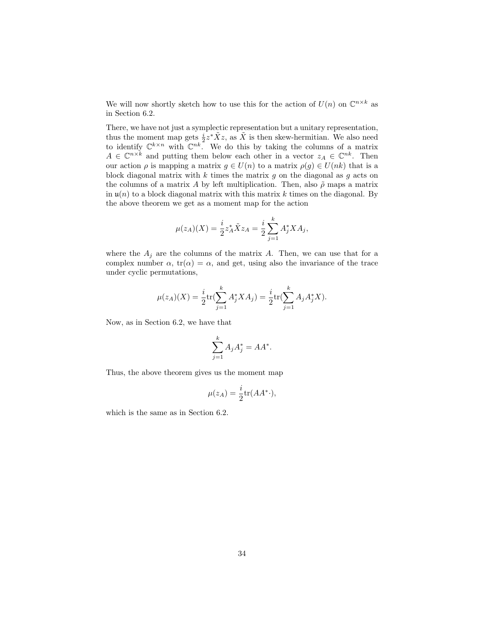We will now shortly sketch how to use this for the action of  $U(n)$  on  $\mathbb{C}^{n \times k}$  as in Section [6.2.](#page-32-0)

There, we have not just a symplectic representation but a unitary representation, thus the moment map gets  $\frac{i}{2}z^*\tilde{X}z$ , as  $\tilde{X}$  is then skew-hermitian. We also need to identify  $\mathbb{C}^{k\times n}$  with  $\mathbb{C}^{nk}$ . We do this by taking the columns of a matrix  $A \in \mathbb{C}^{n \times k}$  and putting them below each other in a vector  $z_A \in \mathbb{C}^{nk}$ . Then our action  $\rho$  is mapping a matrix  $g \in U(n)$  to a matrix  $\rho(g) \in U(nk)$  that is a block diagonal matrix with k times the matrix  $q$  on the diagonal as  $q$  acts on the columns of a matrix A by left multiplication. Then, also  $\tilde{\rho}$  maps a matrix in  $\mathfrak{u}(n)$  to a block diagonal matrix with this matrix k times on the diagonal. By the above theorem we get as a moment map for the action

$$
\mu(z_A)(X) = \frac{i}{2} z_A^* \tilde{X} z_A = \frac{i}{2} \sum_{j=1}^k A_j^* X A_j,
$$

where the  $A_i$  are the columns of the matrix A. Then, we can use that for a complex number  $\alpha$ ,  $tr(\alpha) = \alpha$ , and get, using also the invariance of the trace under cyclic permutations,

$$
\mu(z_A)(X) = \frac{i}{2} \text{tr}(\sum_{j=1}^k A_j^* X A_j) = \frac{i}{2} \text{tr}(\sum_{j=1}^k A_j A_j^* X).
$$

Now, as in Section [6.2,](#page-32-0) we have that

$$
\sum_{j=1}^k A_j A_j^* = A A^*.
$$

Thus, the above theorem gives us the moment map

$$
\mu(z_A) = \frac{i}{2} \text{tr}(AA^* \cdot),
$$

which is the same as in Section [6.2.](#page-32-0)